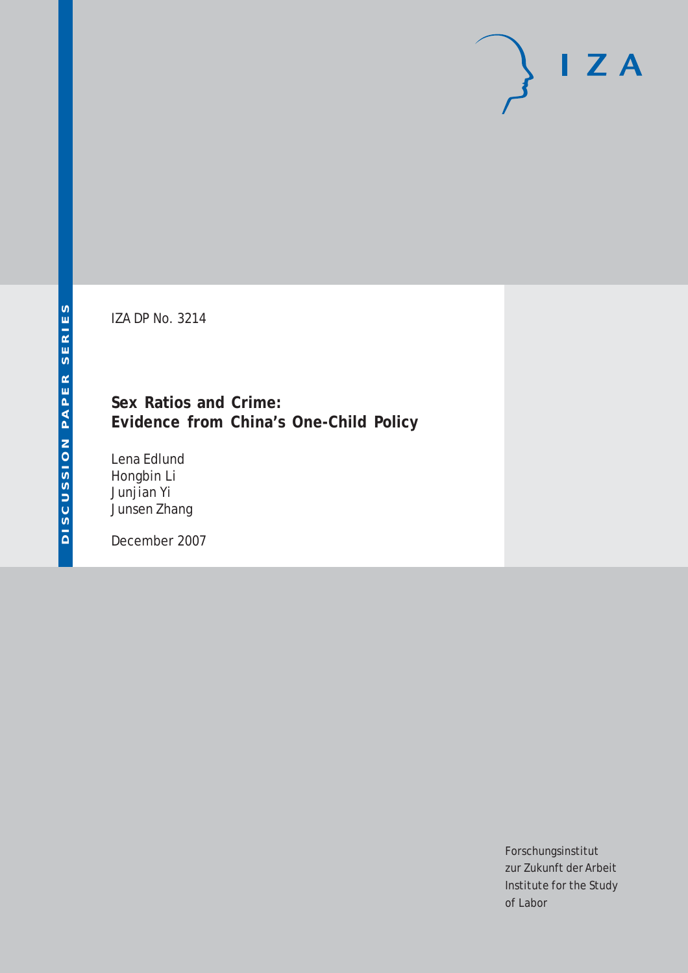# $I Z A$

IZA DP No. 3214

## **Sex Ratios and Crime: Evidence from China's One-Child Policy**

Lena Edlund Hongbin Li Junjian Yi Junsen Zhang

December 2007

Forschungsinstitut zur Zukunft der Arbeit Institute for the Study of Labor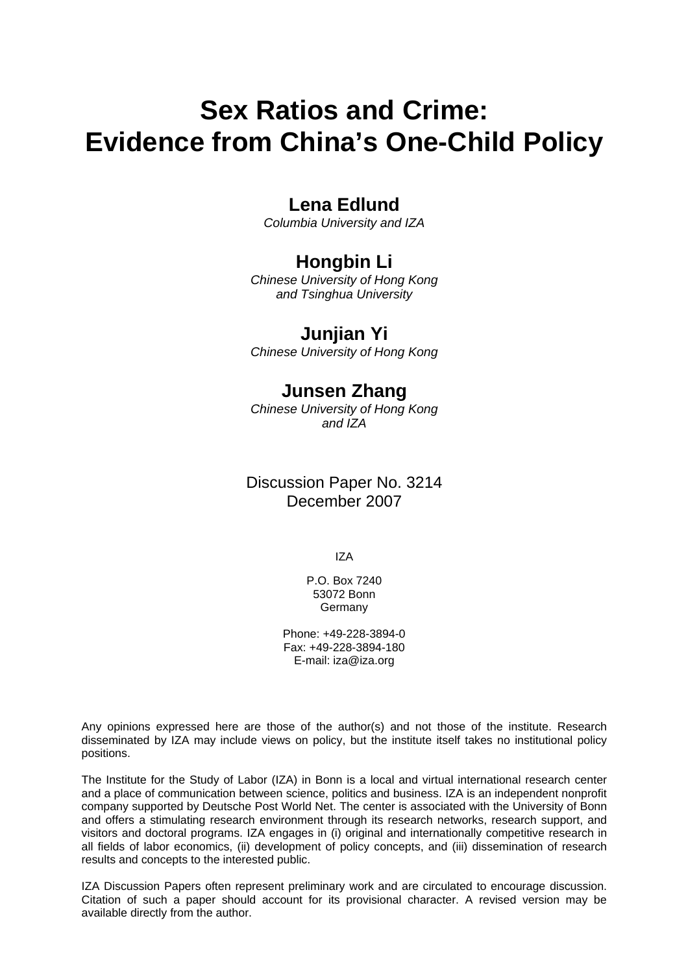## **Sex Ratios and Crime: Evidence from China's One-Child Policy**

## **Lena Edlund**

*Columbia University and IZA* 

## **Hongbin Li**

*Chinese University of Hong Kong and Tsinghua University* 

## **Junjian Yi**

*Chinese University of Hong Kong* 

## **Junsen Zhang**

*Chinese University of Hong Kong and IZA*

## Discussion Paper No. 3214 December 2007

IZA

P.O. Box 7240 53072 Bonn Germany

Phone: +49-228-3894-0 Fax: +49-228-3894-180 E-mail: [iza@iza.org](mailto:iza@iza.org)

Any opinions expressed here are those of the author(s) and not those of the institute. Research disseminated by IZA may include views on policy, but the institute itself takes no institutional policy positions.

The Institute for the Study of Labor (IZA) in Bonn is a local and virtual international research center and a place of communication between science, politics and business. IZA is an independent nonprofit company supported by Deutsche Post World Net. The center is associated with the University of Bonn and offers a stimulating research environment through its research networks, research support, and visitors and doctoral programs. IZA engages in (i) original and internationally competitive research in all fields of labor economics, (ii) development of policy concepts, and (iii) dissemination of research results and concepts to the interested public.

IZA Discussion Papers often represent preliminary work and are circulated to encourage discussion. Citation of such a paper should account for its provisional character. A revised version may be available directly from the author.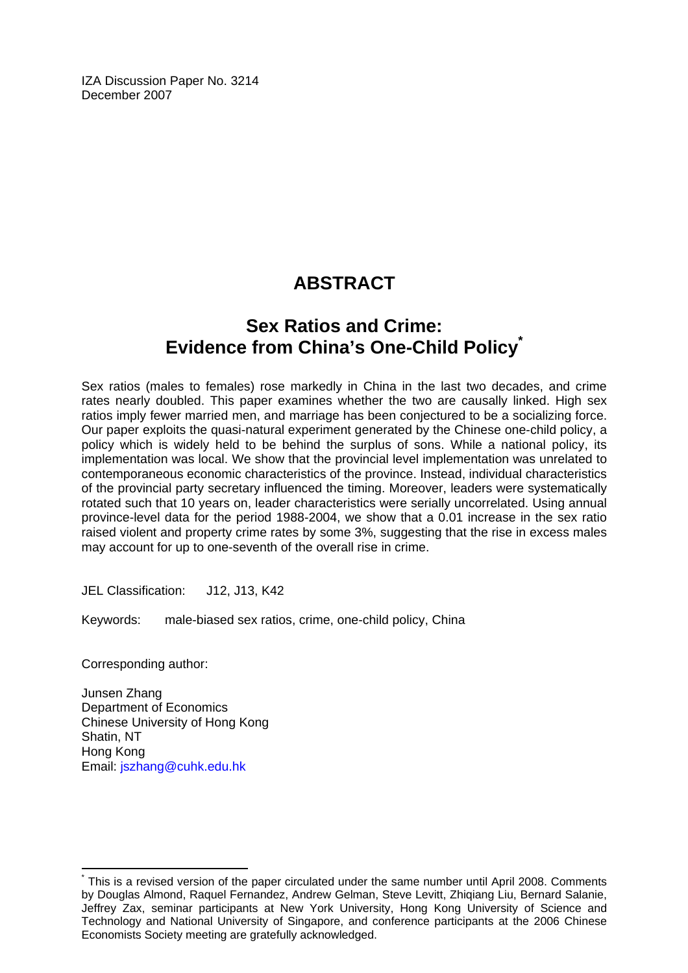IZA Discussion Paper No. 3214 December 2007

## **ABSTRACT**

## **Sex Ratios and Crime: Evidence from China's One-Child Policy[\\*](#page-2-0)**

Sex ratios (males to females) rose markedly in China in the last two decades, and crime rates nearly doubled. This paper examines whether the two are causally linked. High sex ratios imply fewer married men, and marriage has been conjectured to be a socializing force. Our paper exploits the quasi-natural experiment generated by the Chinese one-child policy, a policy which is widely held to be behind the surplus of sons. While a national policy, its implementation was local. We show that the provincial level implementation was unrelated to contemporaneous economic characteristics of the province. Instead, individual characteristics of the provincial party secretary influenced the timing. Moreover, leaders were systematically rotated such that 10 years on, leader characteristics were serially uncorrelated. Using annual province-level data for the period 1988-2004, we show that a 0.01 increase in the sex ratio raised violent and property crime rates by some 3%, suggesting that the rise in excess males may account for up to one-seventh of the overall rise in crime.

JEL Classification: J12, J13, K42

Keywords: male-biased sex ratios, crime, one-child policy, China

Corresponding author:

 $\overline{a}$ 

Junsen Zhang Department of Economics Chinese University of Hong Kong Shatin, NT Hong Kong Email: [jszhang@cuhk.edu.hk](mailto:jszhang@cuhk.edu.hk)

<span id="page-2-0"></span><sup>\*</sup> This is a revised version of the paper circulated under the same number until April 2008. Comments by Douglas Almond, Raquel Fernandez, Andrew Gelman, Steve Levitt, Zhiqiang Liu, Bernard Salanie, Jeffrey Zax, seminar participants at New York University, Hong Kong University of Science and Technology and National University of Singapore, and conference participants at the 2006 Chinese Economists Society meeting are gratefully acknowledged.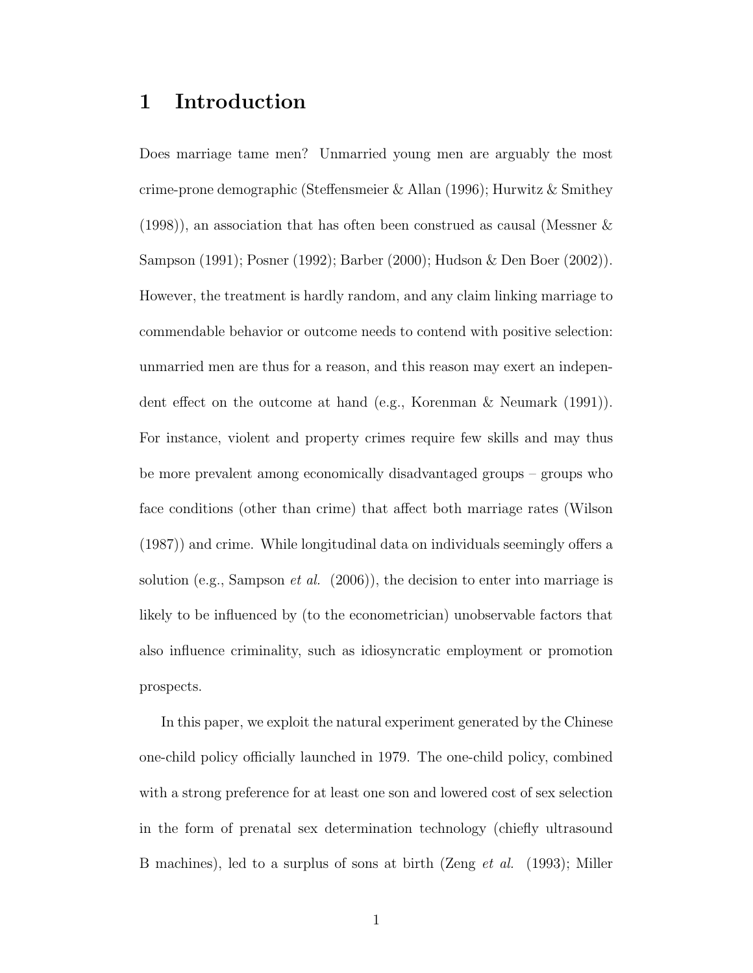## 1 Introduction

Does marriage tame men? Unmarried young men are arguably the most crime-prone demographic (Steffensmeier & Allan (1996); Hurwitz & Smithey (1998)), an association that has often been construed as causal (Messner & Sampson (1991); Posner (1992); Barber (2000); Hudson & Den Boer (2002)). However, the treatment is hardly random, and any claim linking marriage to commendable behavior or outcome needs to contend with positive selection: unmarried men are thus for a reason, and this reason may exert an independent effect on the outcome at hand (e.g., Korenman & Neumark (1991)). For instance, violent and property crimes require few skills and may thus be more prevalent among economically disadvantaged groups – groups who face conditions (other than crime) that affect both marriage rates (Wilson (1987)) and crime. While longitudinal data on individuals seemingly offers a solution (e.g., Sampson *et al.* (2006)), the decision to enter into marriage is likely to be influenced by (to the econometrician) unobservable factors that also influence criminality, such as idiosyncratic employment or promotion prospects.

In this paper, we exploit the natural experiment generated by the Chinese one-child policy officially launched in 1979. The one-child policy, combined with a strong preference for at least one son and lowered cost of sex selection in the form of prenatal sex determination technology (chiefly ultrasound B machines), led to a surplus of sons at birth (Zeng et al. (1993); Miller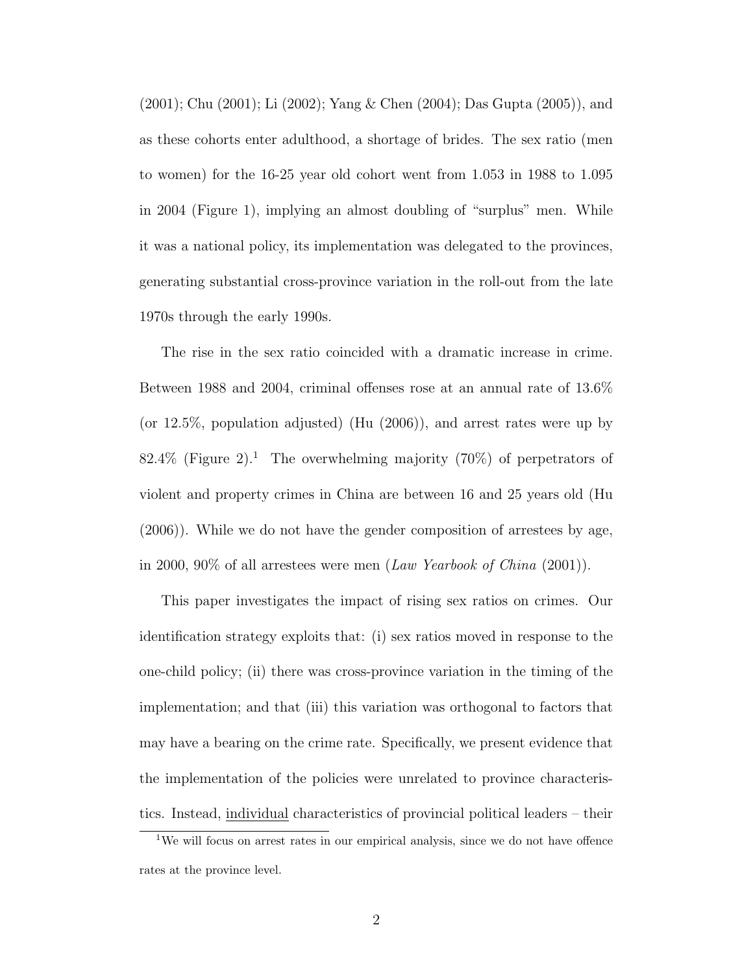(2001); Chu (2001); Li (2002); Yang & Chen (2004); Das Gupta (2005)), and as these cohorts enter adulthood, a shortage of brides. The sex ratio (men to women) for the 16-25 year old cohort went from 1.053 in 1988 to 1.095 in 2004 (Figure 1), implying an almost doubling of "surplus" men. While it was a national policy, its implementation was delegated to the provinces, generating substantial cross-province variation in the roll-out from the late 1970s through the early 1990s.

The rise in the sex ratio coincided with a dramatic increase in crime. Between 1988 and 2004, criminal offenses rose at an annual rate of 13.6% (or 12.5%, population adjusted) (Hu (2006)), and arrest rates were up by 82.4% (Figure 2).<sup>1</sup> The overwhelming majority (70%) of perpetrators of violent and property crimes in China are between 16 and 25 years old (Hu (2006)). While we do not have the gender composition of arrestees by age, in 2000, 90% of all arrestees were men (Law Yearbook of China (2001)).

This paper investigates the impact of rising sex ratios on crimes. Our identification strategy exploits that: (i) sex ratios moved in response to the one-child policy; (ii) there was cross-province variation in the timing of the implementation; and that (iii) this variation was orthogonal to factors that may have a bearing on the crime rate. Specifically, we present evidence that the implementation of the policies were unrelated to province characteristics. Instead, individual characteristics of provincial political leaders – their

<sup>&</sup>lt;sup>1</sup>We will focus on arrest rates in our empirical analysis, since we do not have offence rates at the province level.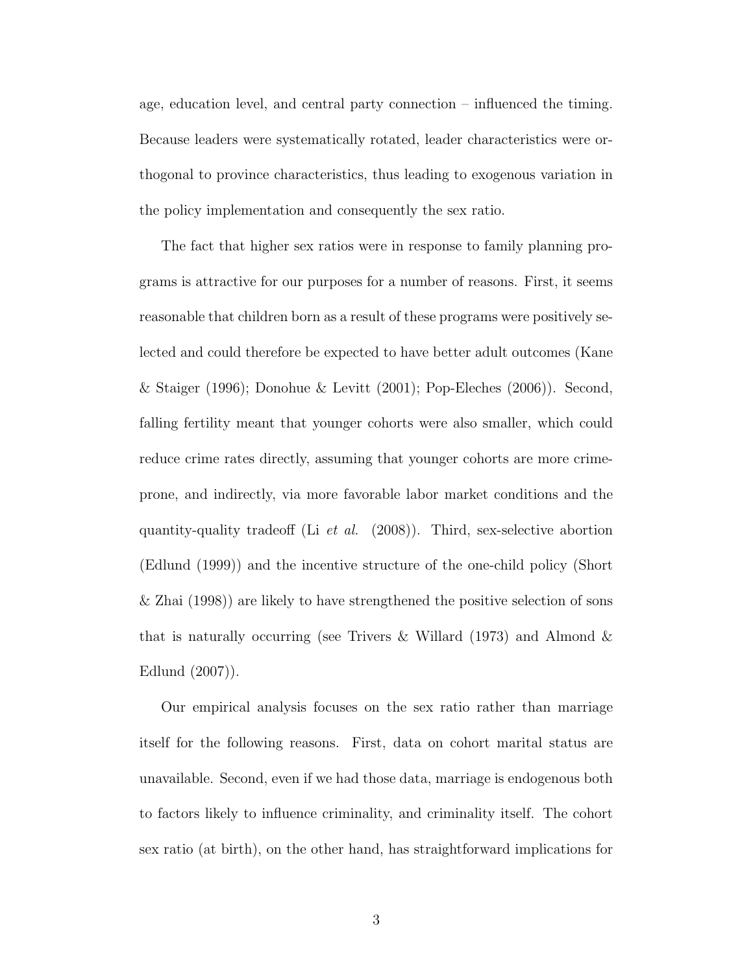age, education level, and central party connection – influenced the timing. Because leaders were systematically rotated, leader characteristics were orthogonal to province characteristics, thus leading to exogenous variation in the policy implementation and consequently the sex ratio.

The fact that higher sex ratios were in response to family planning programs is attractive for our purposes for a number of reasons. First, it seems reasonable that children born as a result of these programs were positively selected and could therefore be expected to have better adult outcomes (Kane & Staiger (1996); Donohue & Levitt (2001); Pop-Eleches (2006)). Second, falling fertility meant that younger cohorts were also smaller, which could reduce crime rates directly, assuming that younger cohorts are more crimeprone, and indirectly, via more favorable labor market conditions and the quantity-quality tradeoff (Li *et al.* (2008)). Third, sex-selective abortion (Edlund (1999)) and the incentive structure of the one-child policy (Short & Zhai (1998)) are likely to have strengthened the positive selection of sons that is naturally occurring (see Trivers & Willard  $(1973)$  and Almond & Edlund (2007)).

Our empirical analysis focuses on the sex ratio rather than marriage itself for the following reasons. First, data on cohort marital status are unavailable. Second, even if we had those data, marriage is endogenous both to factors likely to influence criminality, and criminality itself. The cohort sex ratio (at birth), on the other hand, has straightforward implications for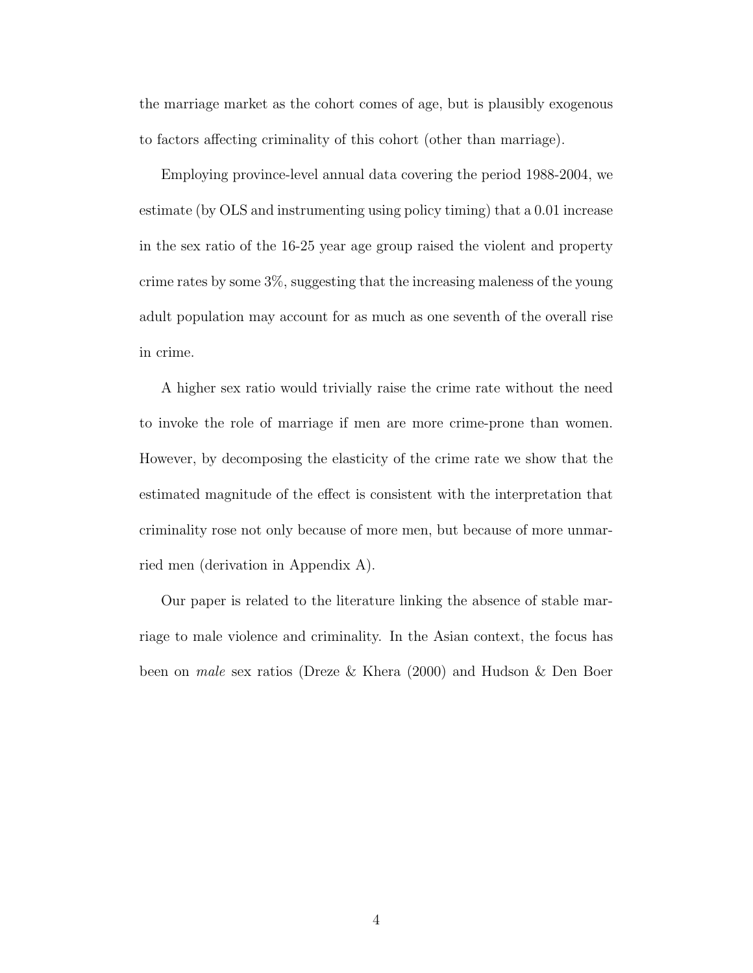the marriage market as the cohort comes of age, but is plausibly exogenous to factors affecting criminality of this cohort (other than marriage).

Employing province-level annual data covering the period 1988-2004, we estimate (by OLS and instrumenting using policy timing) that a 0.01 increase in the sex ratio of the 16-25 year age group raised the violent and property crime rates by some 3%, suggesting that the increasing maleness of the young adult population may account for as much as one seventh of the overall rise in crime.

A higher sex ratio would trivially raise the crime rate without the need to invoke the role of marriage if men are more crime-prone than women. However, by decomposing the elasticity of the crime rate we show that the estimated magnitude of the effect is consistent with the interpretation that criminality rose not only because of more men, but because of more unmarried men (derivation in Appendix A).

Our paper is related to the literature linking the absence of stable marriage to male violence and criminality. In the Asian context, the focus has been on male sex ratios (Dreze & Khera (2000) and Hudson & Den Boer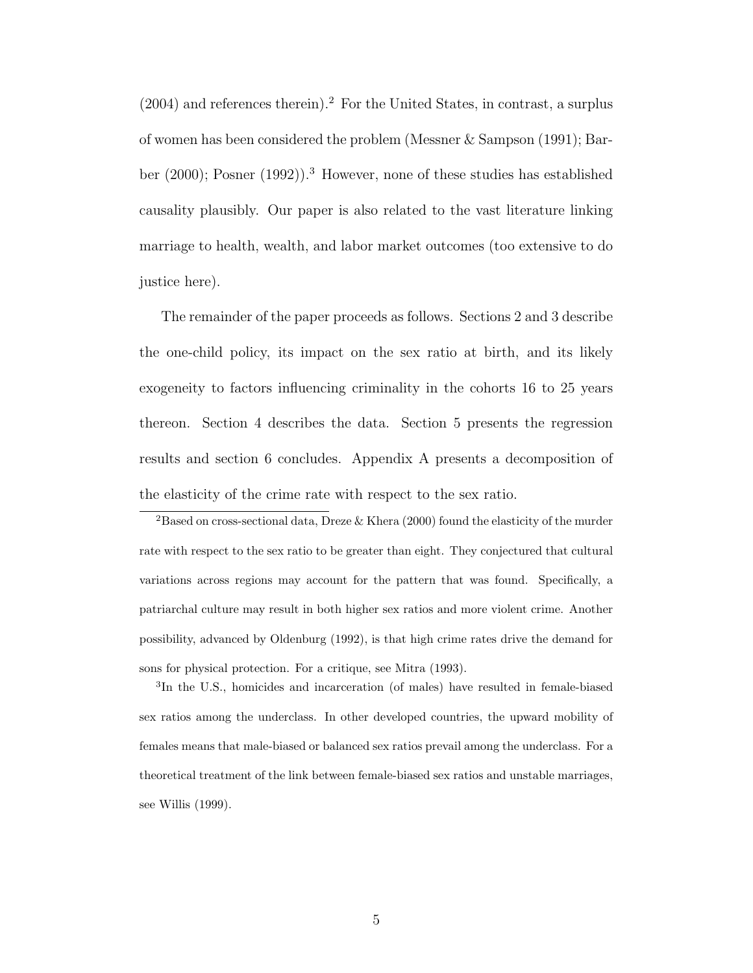$(2004)$  and references therein).<sup>2</sup> For the United States, in contrast, a surplus of women has been considered the problem (Messner & Sampson (1991); Barber (2000); Posner (1992)).<sup>3</sup> However, none of these studies has established causality plausibly. Our paper is also related to the vast literature linking marriage to health, wealth, and labor market outcomes (too extensive to do justice here).

The remainder of the paper proceeds as follows. Sections 2 and 3 describe the one-child policy, its impact on the sex ratio at birth, and its likely exogeneity to factors influencing criminality in the cohorts 16 to 25 years thereon. Section 4 describes the data. Section 5 presents the regression results and section 6 concludes. Appendix A presents a decomposition of the elasticity of the crime rate with respect to the sex ratio.

<sup>2</sup>Based on cross-sectional data, Dreze & Khera (2000) found the elasticity of the murder rate with respect to the sex ratio to be greater than eight. They conjectured that cultural variations across regions may account for the pattern that was found. Specifically, a patriarchal culture may result in both higher sex ratios and more violent crime. Another possibility, advanced by Oldenburg (1992), is that high crime rates drive the demand for sons for physical protection. For a critique, see Mitra (1993).

<sup>3</sup>In the U.S., homicides and incarceration (of males) have resulted in female-biased sex ratios among the underclass. In other developed countries, the upward mobility of females means that male-biased or balanced sex ratios prevail among the underclass. For a theoretical treatment of the link between female-biased sex ratios and unstable marriages, see Willis (1999).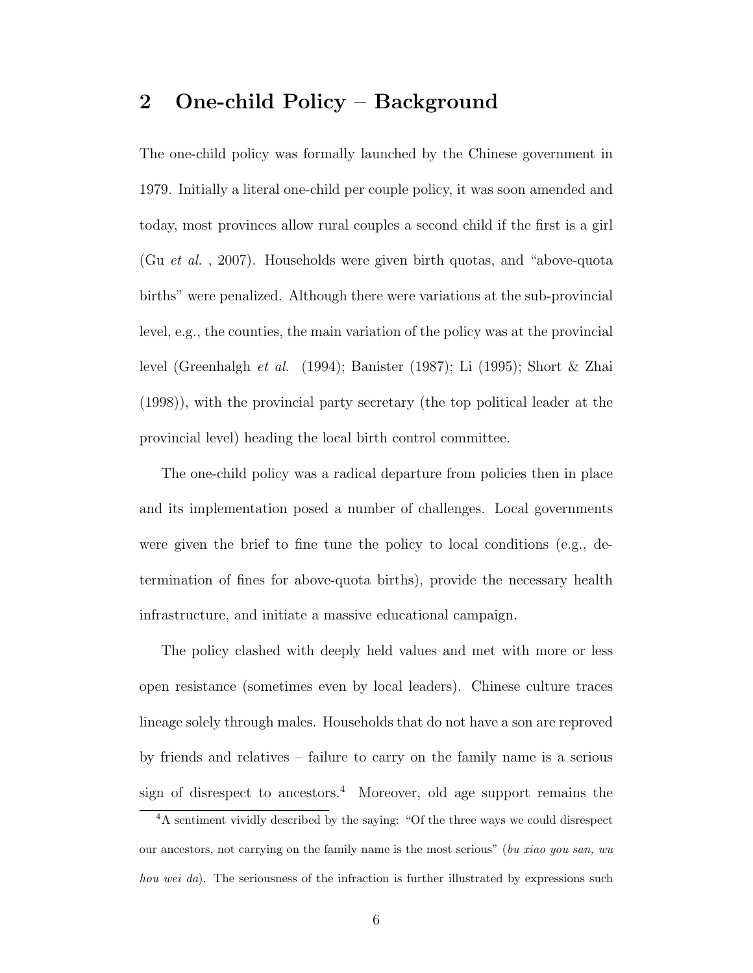## 2 One-child Policy – Background

The one-child policy was formally launched by the Chinese government in 1979. Initially a literal one-child per couple policy, it was soon amended and today, most provinces allow rural couples a second child if the first is a girl (Gu et al. , 2007). Households were given birth quotas, and "above-quota births" were penalized. Although there were variations at the sub-provincial level, e.g., the counties, the main variation of the policy was at the provincial level (Greenhalgh et al. (1994); Banister (1987); Li (1995); Short & Zhai (1998)), with the provincial party secretary (the top political leader at the provincial level) heading the local birth control committee.

The one-child policy was a radical departure from policies then in place and its implementation posed a number of challenges. Local governments were given the brief to fine tune the policy to local conditions (e.g., determination of fines for above-quota births), provide the necessary health infrastructure, and initiate a massive educational campaign.

The policy clashed with deeply held values and met with more or less open resistance (sometimes even by local leaders). Chinese culture traces lineage solely through males. Households that do not have a son are reproved by friends and relatives – failure to carry on the family name is a serious sign of disrespect to ancestors.<sup>4</sup> Moreover, old age support remains the

<sup>4</sup>A sentiment vividly described by the saying: "Of the three ways we could disrespect our ancestors, not carrying on the family name is the most serious" (bu xiao you san, wu hou wei da). The seriousness of the infraction is further illustrated by expressions such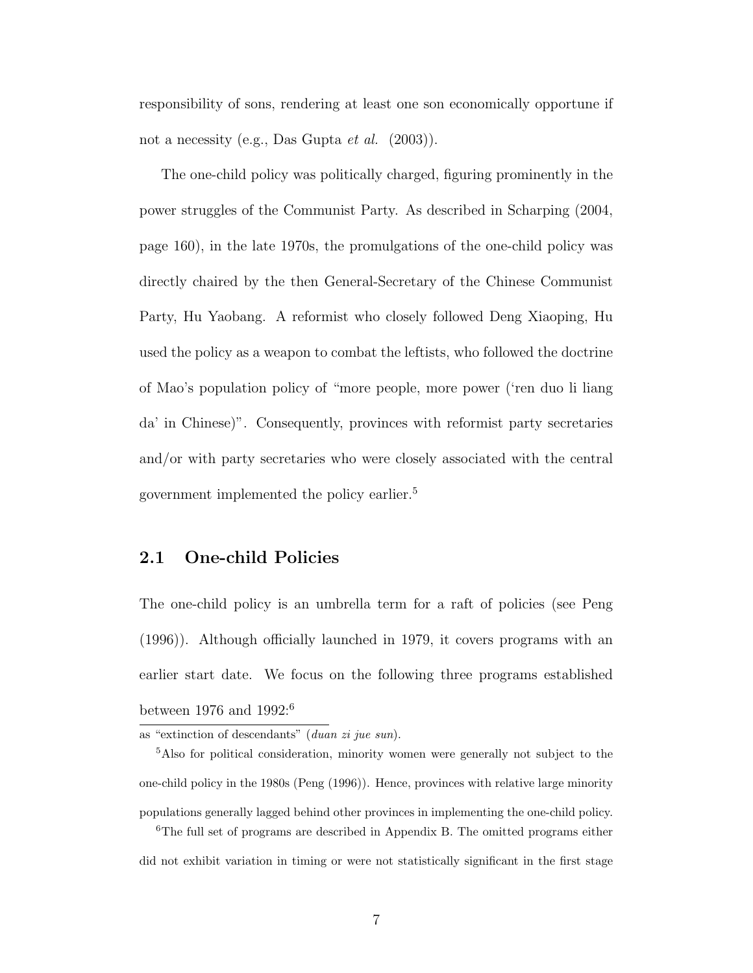responsibility of sons, rendering at least one son economically opportune if not a necessity (e.g., Das Gupta et al. (2003)).

The one-child policy was politically charged, figuring prominently in the power struggles of the Communist Party. As described in Scharping (2004, page 160), in the late 1970s, the promulgations of the one-child policy was directly chaired by the then General-Secretary of the Chinese Communist Party, Hu Yaobang. A reformist who closely followed Deng Xiaoping, Hu used the policy as a weapon to combat the leftists, who followed the doctrine of Mao's population policy of "more people, more power ('ren duo li liang da' in Chinese)". Consequently, provinces with reformist party secretaries and/or with party secretaries who were closely associated with the central government implemented the policy earlier.<sup>5</sup>

#### 2.1 One-child Policies

The one-child policy is an umbrella term for a raft of policies (see Peng (1996)). Although officially launched in 1979, it covers programs with an earlier start date. We focus on the following three programs established between 1976 and 1992:<sup>6</sup>

as "extinction of descendants" (duan zi jue sun).

<sup>5</sup>Also for political consideration, minority women were generally not subject to the one-child policy in the 1980s (Peng (1996)). Hence, provinces with relative large minority populations generally lagged behind other provinces in implementing the one-child policy. <sup>6</sup>The full set of programs are described in Appendix B. The omitted programs either

did not exhibit variation in timing or were not statistically significant in the first stage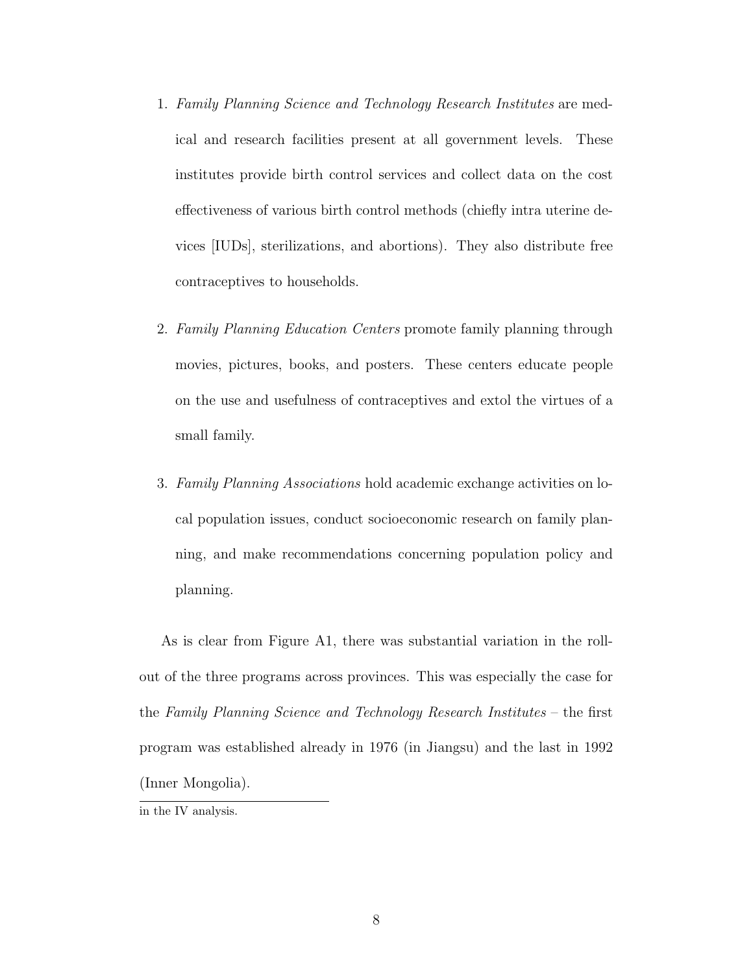- 1. Family Planning Science and Technology Research Institutes are medical and research facilities present at all government levels. These institutes provide birth control services and collect data on the cost effectiveness of various birth control methods (chiefly intra uterine devices [IUDs], sterilizations, and abortions). They also distribute free contraceptives to households.
- 2. Family Planning Education Centers promote family planning through movies, pictures, books, and posters. These centers educate people on the use and usefulness of contraceptives and extol the virtues of a small family.
- 3. Family Planning Associations hold academic exchange activities on local population issues, conduct socioeconomic research on family planning, and make recommendations concerning population policy and planning.

As is clear from Figure A1, there was substantial variation in the rollout of the three programs across provinces. This was especially the case for the Family Planning Science and Technology Research Institutes – the first program was established already in 1976 (in Jiangsu) and the last in 1992 (Inner Mongolia).

in the IV analysis.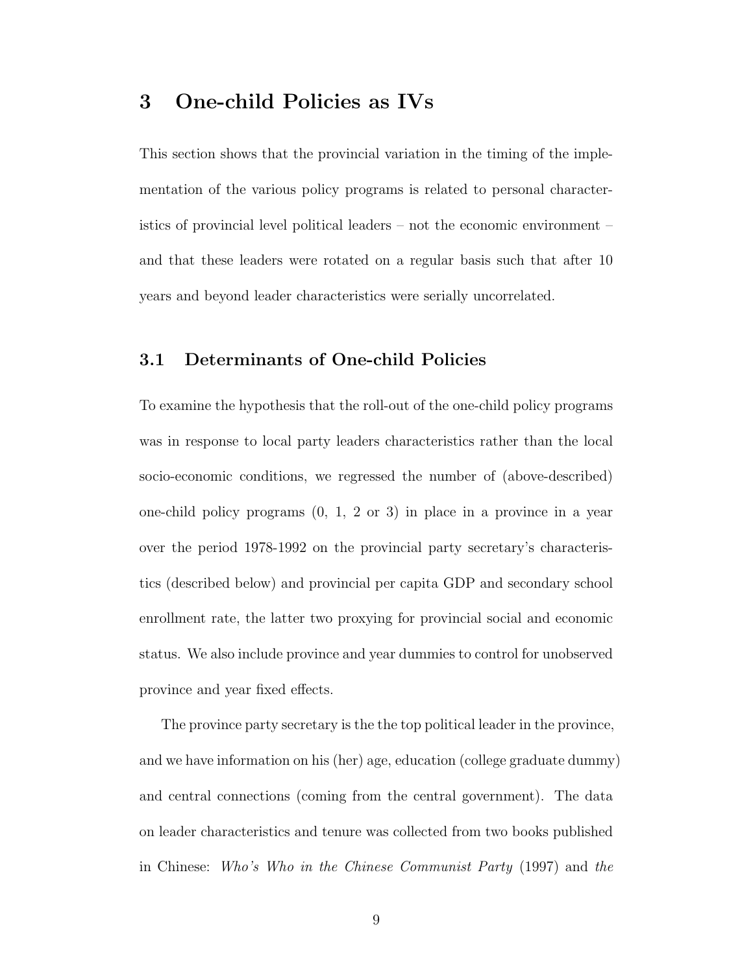## 3 One-child Policies as IVs

This section shows that the provincial variation in the timing of the implementation of the various policy programs is related to personal characteristics of provincial level political leaders – not the economic environment – and that these leaders were rotated on a regular basis such that after 10 years and beyond leader characteristics were serially uncorrelated.

#### 3.1 Determinants of One-child Policies

To examine the hypothesis that the roll-out of the one-child policy programs was in response to local party leaders characteristics rather than the local socio-economic conditions, we regressed the number of (above-described) one-child policy programs (0, 1, 2 or 3) in place in a province in a year over the period 1978-1992 on the provincial party secretary's characteristics (described below) and provincial per capita GDP and secondary school enrollment rate, the latter two proxying for provincial social and economic status. We also include province and year dummies to control for unobserved province and year fixed effects.

The province party secretary is the the top political leader in the province, and we have information on his (her) age, education (college graduate dummy) and central connections (coming from the central government). The data on leader characteristics and tenure was collected from two books published in Chinese: Who's Who in the Chinese Communist Party (1997) and the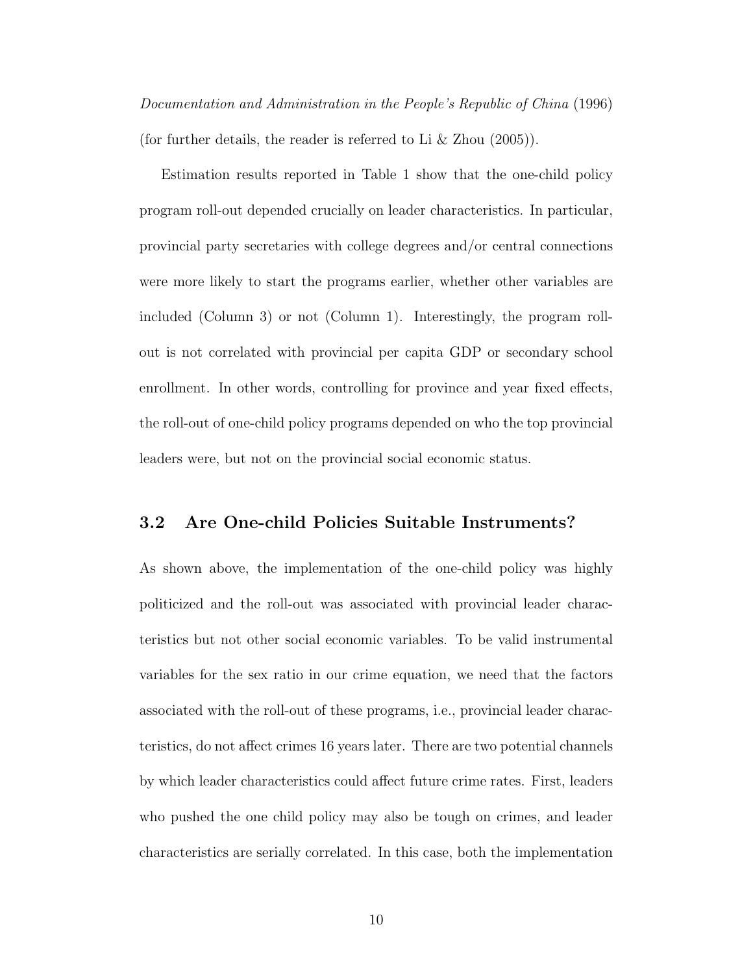Documentation and Administration in the People's Republic of China (1996) (for further details, the reader is referred to Li & Zhou (2005)).

Estimation results reported in Table 1 show that the one-child policy program roll-out depended crucially on leader characteristics. In particular, provincial party secretaries with college degrees and/or central connections were more likely to start the programs earlier, whether other variables are included (Column 3) or not (Column 1). Interestingly, the program rollout is not correlated with provincial per capita GDP or secondary school enrollment. In other words, controlling for province and year fixed effects, the roll-out of one-child policy programs depended on who the top provincial leaders were, but not on the provincial social economic status.

#### 3.2 Are One-child Policies Suitable Instruments?

As shown above, the implementation of the one-child policy was highly politicized and the roll-out was associated with provincial leader characteristics but not other social economic variables. To be valid instrumental variables for the sex ratio in our crime equation, we need that the factors associated with the roll-out of these programs, i.e., provincial leader characteristics, do not affect crimes 16 years later. There are two potential channels by which leader characteristics could affect future crime rates. First, leaders who pushed the one child policy may also be tough on crimes, and leader characteristics are serially correlated. In this case, both the implementation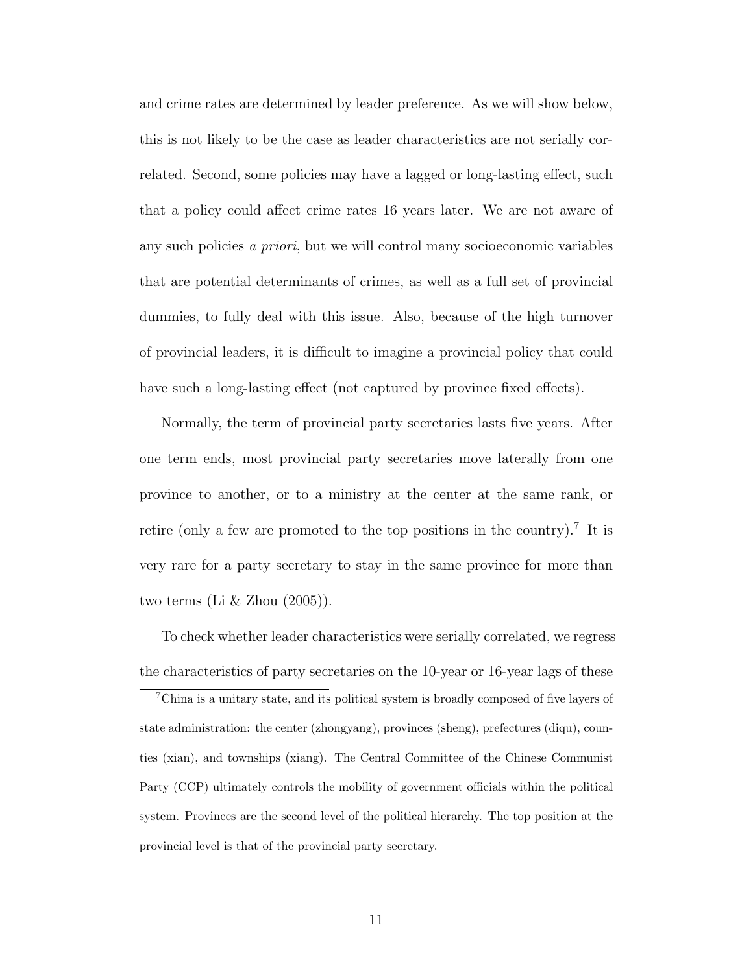and crime rates are determined by leader preference. As we will show below, this is not likely to be the case as leader characteristics are not serially correlated. Second, some policies may have a lagged or long-lasting effect, such that a policy could affect crime rates 16 years later. We are not aware of any such policies a priori, but we will control many socioeconomic variables that are potential determinants of crimes, as well as a full set of provincial dummies, to fully deal with this issue. Also, because of the high turnover of provincial leaders, it is difficult to imagine a provincial policy that could have such a long-lasting effect (not captured by province fixed effects).

Normally, the term of provincial party secretaries lasts five years. After one term ends, most provincial party secretaries move laterally from one province to another, or to a ministry at the center at the same rank, or retire (only a few are promoted to the top positions in the country).<sup>7</sup> It is very rare for a party secretary to stay in the same province for more than two terms (Li  $&$  Zhou (2005)).

To check whether leader characteristics were serially correlated, we regress the characteristics of party secretaries on the 10-year or 16-year lags of these

<sup>7</sup>China is a unitary state, and its political system is broadly composed of five layers of state administration: the center (zhongyang), provinces (sheng), prefectures (diqu), counties (xian), and townships (xiang). The Central Committee of the Chinese Communist Party (CCP) ultimately controls the mobility of government officials within the political system. Provinces are the second level of the political hierarchy. The top position at the provincial level is that of the provincial party secretary.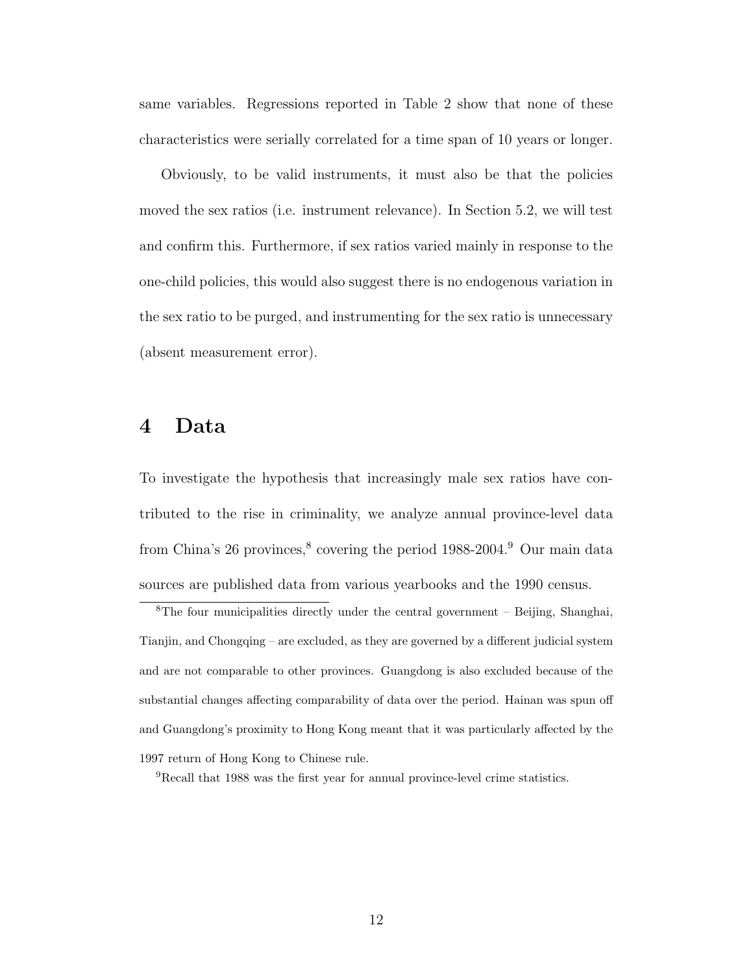same variables. Regressions reported in Table 2 show that none of these characteristics were serially correlated for a time span of 10 years or longer.

Obviously, to be valid instruments, it must also be that the policies moved the sex ratios (i.e. instrument relevance). In Section 5.2, we will test and confirm this. Furthermore, if sex ratios varied mainly in response to the one-child policies, this would also suggest there is no endogenous variation in the sex ratio to be purged, and instrumenting for the sex ratio is unnecessary (absent measurement error).

## 4 Data

To investigate the hypothesis that increasingly male sex ratios have contributed to the rise in criminality, we analyze annual province-level data from China's 26 provinces,<sup>8</sup> covering the period 1988-2004.<sup>9</sup> Our main data sources are published data from various yearbooks and the 1990 census.

<sup>9</sup>Recall that 1988 was the first year for annual province-level crime statistics.

 ${}^{8}$ The four municipalities directly under the central government – Beijing, Shanghai, Tianjin, and Chongqing – are excluded, as they are governed by a different judicial system and are not comparable to other provinces. Guangdong is also excluded because of the substantial changes affecting comparability of data over the period. Hainan was spun off and Guangdong's proximity to Hong Kong meant that it was particularly affected by the 1997 return of Hong Kong to Chinese rule.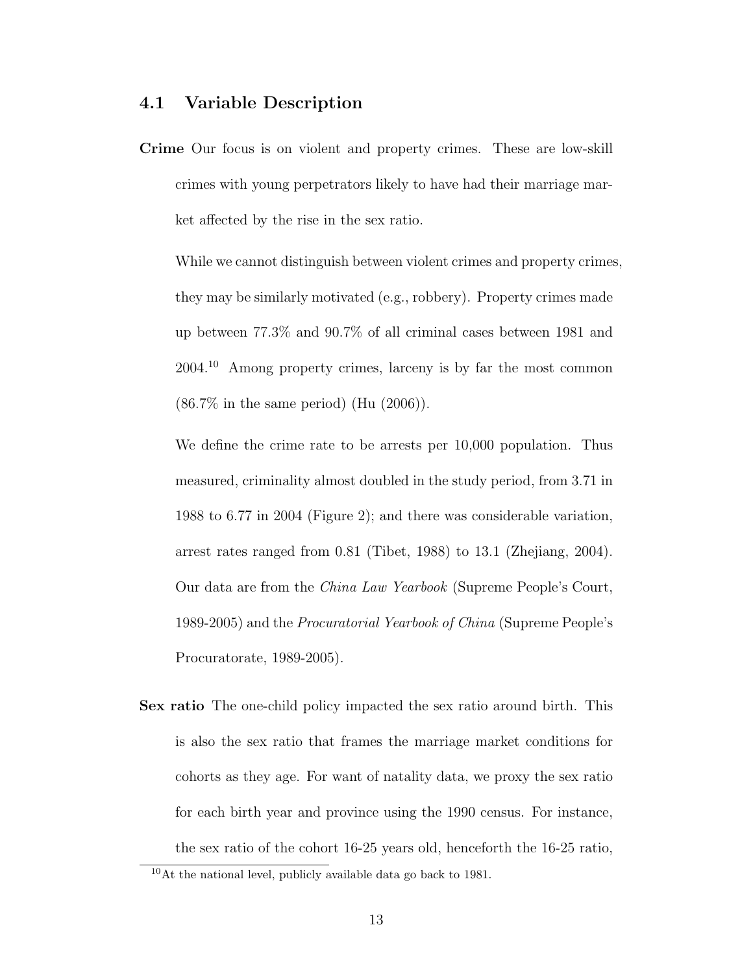#### 4.1 Variable Description

Crime Our focus is on violent and property crimes. These are low-skill crimes with young perpetrators likely to have had their marriage market affected by the rise in the sex ratio.

While we cannot distinguish between violent crimes and property crimes, they may be similarly motivated (e.g., robbery). Property crimes made up between 77.3% and 90.7% of all criminal cases between 1981 and 2004.<sup>10</sup> Among property crimes, larceny is by far the most common (86.7% in the same period) (Hu (2006)).

We define the crime rate to be arrests per 10,000 population. Thus measured, criminality almost doubled in the study period, from 3.71 in 1988 to 6.77 in 2004 (Figure 2); and there was considerable variation, arrest rates ranged from 0.81 (Tibet, 1988) to 13.1 (Zhejiang, 2004). Our data are from the China Law Yearbook (Supreme People's Court, 1989-2005) and the Procuratorial Yearbook of China (Supreme People's Procuratorate, 1989-2005).

Sex ratio The one-child policy impacted the sex ratio around birth. This is also the sex ratio that frames the marriage market conditions for cohorts as they age. For want of natality data, we proxy the sex ratio for each birth year and province using the 1990 census. For instance, the sex ratio of the cohort 16-25 years old, henceforth the 16-25 ratio,

<sup>10</sup>At the national level, publicly available data go back to 1981.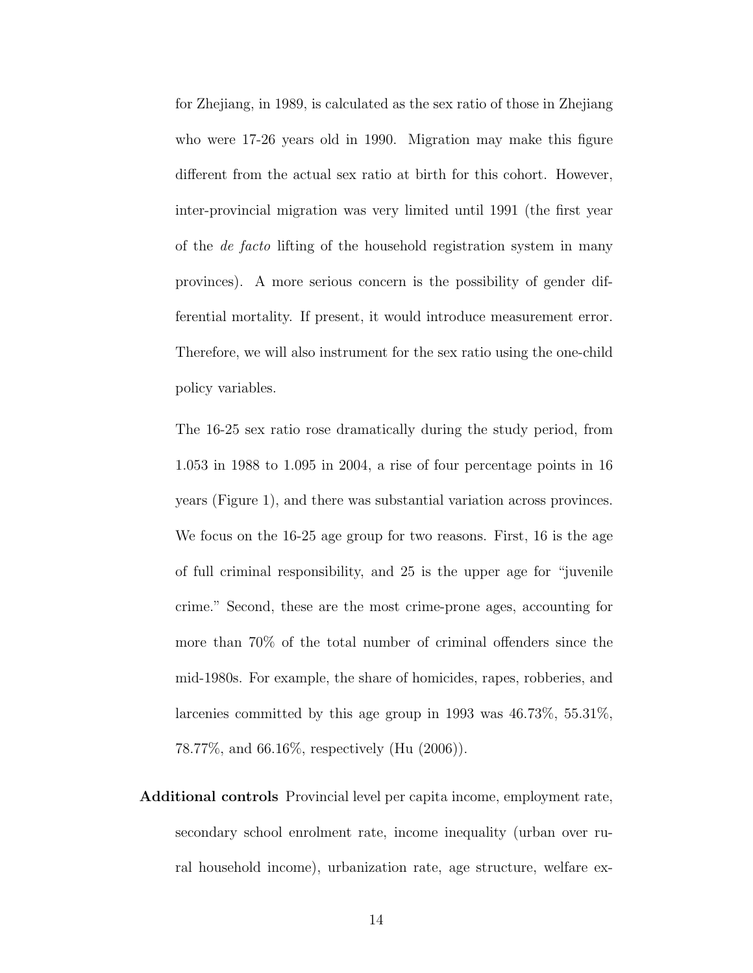for Zhejiang, in 1989, is calculated as the sex ratio of those in Zhejiang who were 17-26 years old in 1990. Migration may make this figure different from the actual sex ratio at birth for this cohort. However, inter-provincial migration was very limited until 1991 (the first year of the de facto lifting of the household registration system in many provinces). A more serious concern is the possibility of gender differential mortality. If present, it would introduce measurement error. Therefore, we will also instrument for the sex ratio using the one-child policy variables.

The 16-25 sex ratio rose dramatically during the study period, from 1.053 in 1988 to 1.095 in 2004, a rise of four percentage points in 16 years (Figure 1), and there was substantial variation across provinces. We focus on the 16-25 age group for two reasons. First, 16 is the age of full criminal responsibility, and 25 is the upper age for "juvenile crime." Second, these are the most crime-prone ages, accounting for more than 70% of the total number of criminal offenders since the mid-1980s. For example, the share of homicides, rapes, robberies, and larcenies committed by this age group in 1993 was 46.73%, 55.31%, 78.77%, and 66.16%, respectively (Hu (2006)).

Additional controls Provincial level per capita income, employment rate, secondary school enrolment rate, income inequality (urban over rural household income), urbanization rate, age structure, welfare ex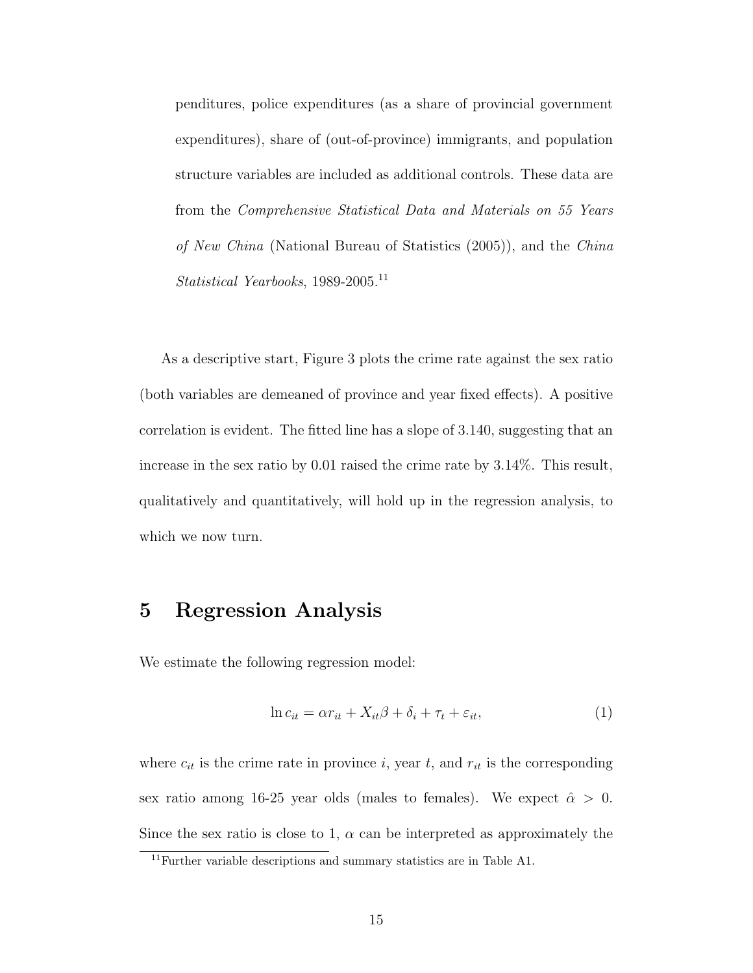penditures, police expenditures (as a share of provincial government expenditures), share of (out-of-province) immigrants, and population structure variables are included as additional controls. These data are from the Comprehensive Statistical Data and Materials on 55 Years of New China (National Bureau of Statistics (2005)), and the China Statistical Yearbooks, 1989-2005.<sup>11</sup>

As a descriptive start, Figure 3 plots the crime rate against the sex ratio (both variables are demeaned of province and year fixed effects). A positive correlation is evident. The fitted line has a slope of 3.140, suggesting that an increase in the sex ratio by 0.01 raised the crime rate by 3.14%. This result, qualitatively and quantitatively, will hold up in the regression analysis, to which we now turn.

## 5 Regression Analysis

We estimate the following regression model:

$$
\ln c_{it} = \alpha r_{it} + X_{it}\beta + \delta_i + \tau_t + \varepsilon_{it},\tag{1}
$$

where  $c_{it}$  is the crime rate in province i, year t, and  $r_{it}$  is the corresponding sex ratio among 16-25 year olds (males to females). We expect  $\hat{\alpha} > 0$ . Since the sex ratio is close to 1,  $\alpha$  can be interpreted as approximately the

 $^{11}\rm{Further}$  variable descriptions and summary statistics are in Table A1.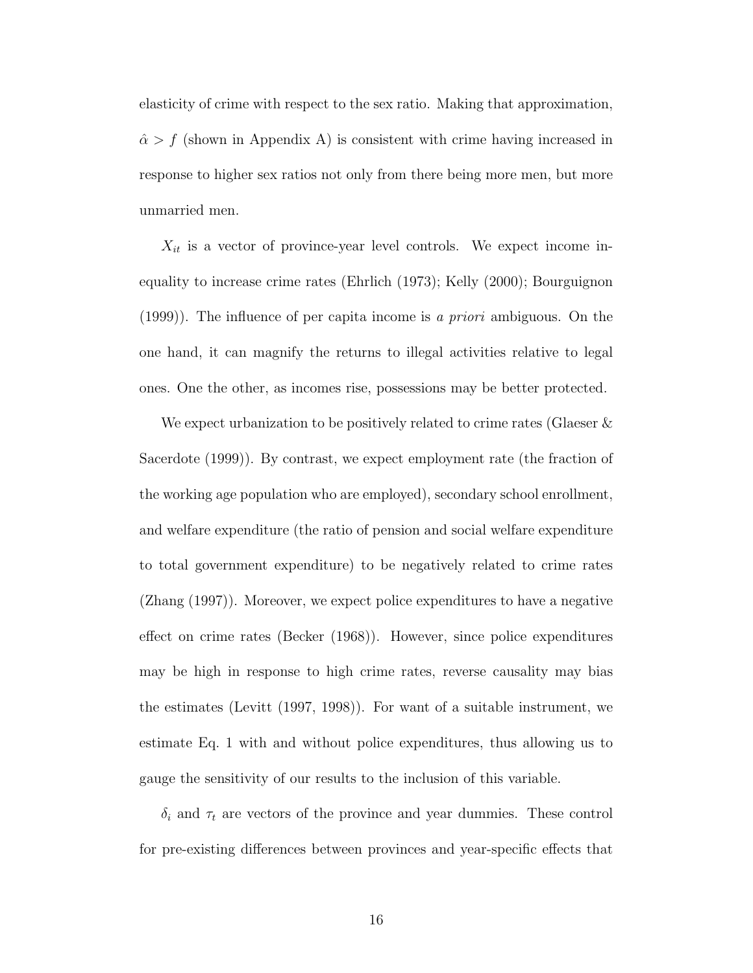elasticity of crime with respect to the sex ratio. Making that approximation,  $\hat{\alpha} > f$  (shown in Appendix A) is consistent with crime having increased in response to higher sex ratios not only from there being more men, but more unmarried men.

 $X_{it}$  is a vector of province-year level controls. We expect income inequality to increase crime rates (Ehrlich (1973); Kelly (2000); Bourguignon  $(1999)$ . The influence of per capita income is a priori ambiguous. On the one hand, it can magnify the returns to illegal activities relative to legal ones. One the other, as incomes rise, possessions may be better protected.

We expect urbanization to be positively related to crime rates (Glaeser & Sacerdote (1999)). By contrast, we expect employment rate (the fraction of the working age population who are employed), secondary school enrollment, and welfare expenditure (the ratio of pension and social welfare expenditure to total government expenditure) to be negatively related to crime rates (Zhang (1997)). Moreover, we expect police expenditures to have a negative effect on crime rates (Becker (1968)). However, since police expenditures may be high in response to high crime rates, reverse causality may bias the estimates (Levitt (1997, 1998)). For want of a suitable instrument, we estimate Eq. 1 with and without police expenditures, thus allowing us to gauge the sensitivity of our results to the inclusion of this variable.

 $\delta_i$  and  $\tau_t$  are vectors of the province and year dummies. These control for pre-existing differences between provinces and year-specific effects that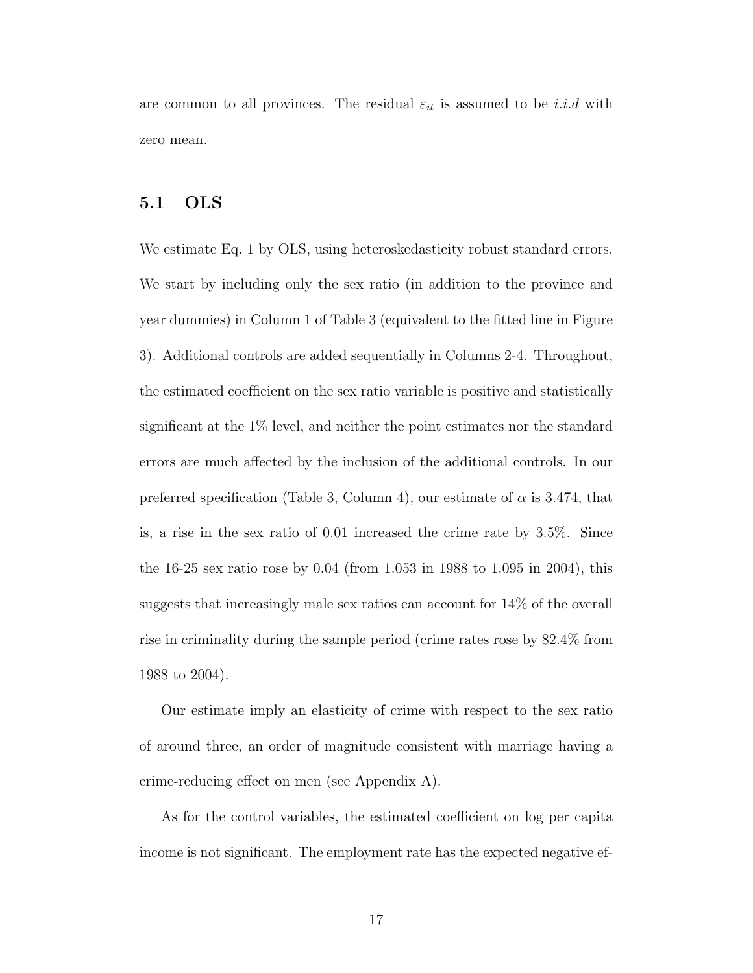are common to all provinces. The residual  $\varepsilon_{it}$  is assumed to be i.i.d with zero mean.

#### 5.1 OLS

We estimate Eq. 1 by OLS, using heteroskedasticity robust standard errors. We start by including only the sex ratio (in addition to the province and year dummies) in Column 1 of Table 3 (equivalent to the fitted line in Figure 3). Additional controls are added sequentially in Columns 2-4. Throughout, the estimated coefficient on the sex ratio variable is positive and statistically significant at the 1% level, and neither the point estimates nor the standard errors are much affected by the inclusion of the additional controls. In our preferred specification (Table 3, Column 4), our estimate of  $\alpha$  is 3.474, that is, a rise in the sex ratio of 0.01 increased the crime rate by 3.5%. Since the 16-25 sex ratio rose by 0.04 (from 1.053 in 1988 to 1.095 in 2004), this suggests that increasingly male sex ratios can account for 14% of the overall rise in criminality during the sample period (crime rates rose by 82.4% from 1988 to 2004).

Our estimate imply an elasticity of crime with respect to the sex ratio of around three, an order of magnitude consistent with marriage having a crime-reducing effect on men (see Appendix A).

As for the control variables, the estimated coefficient on log per capita income is not significant. The employment rate has the expected negative ef-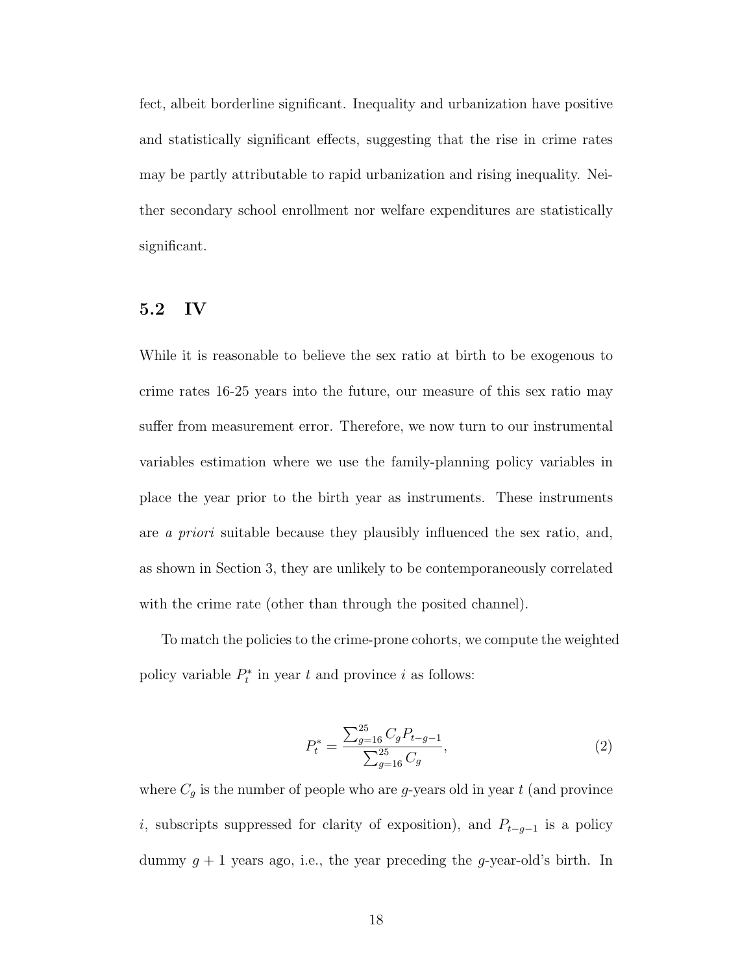fect, albeit borderline significant. Inequality and urbanization have positive and statistically significant effects, suggesting that the rise in crime rates may be partly attributable to rapid urbanization and rising inequality. Neither secondary school enrollment nor welfare expenditures are statistically significant.

#### 5.2 IV

While it is reasonable to believe the sex ratio at birth to be exogenous to crime rates 16-25 years into the future, our measure of this sex ratio may suffer from measurement error. Therefore, we now turn to our instrumental variables estimation where we use the family-planning policy variables in place the year prior to the birth year as instruments. These instruments are a priori suitable because they plausibly influenced the sex ratio, and, as shown in Section 3, they are unlikely to be contemporaneously correlated with the crime rate (other than through the posited channel).

To match the policies to the crime-prone cohorts, we compute the weighted policy variable  $P_t^*$  in year t and province i as follows:

$$
P_t^* = \frac{\sum_{g=16}^{25} C_g P_{t-g-1}}{\sum_{g=16}^{25} C_g},\tag{2}
$$

where  $C_g$  is the number of people who are *g*-years old in year  $t$  (and province i, subscripts suppressed for clarity of exposition), and  $P_{t-g-1}$  is a policy dummy  $g + 1$  years ago, i.e., the year preceding the g-year-old's birth. In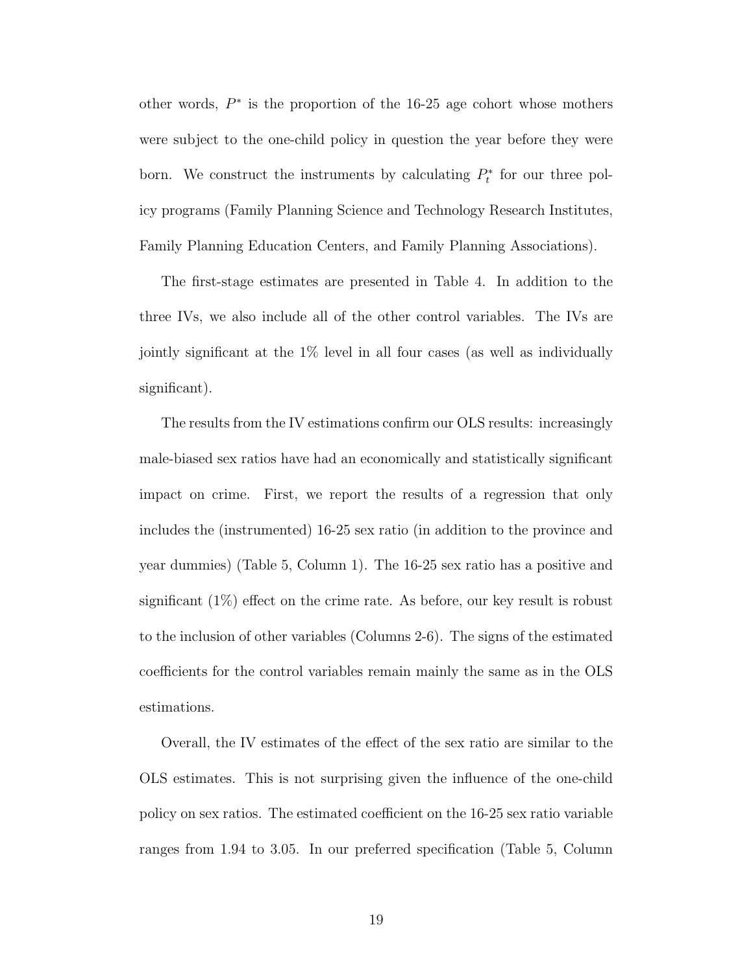other words,  $P^*$  is the proportion of the 16-25 age cohort whose mothers were subject to the one-child policy in question the year before they were born. We construct the instruments by calculating  $P_t^*$  for our three policy programs (Family Planning Science and Technology Research Institutes, Family Planning Education Centers, and Family Planning Associations).

The first-stage estimates are presented in Table 4. In addition to the three IVs, we also include all of the other control variables. The IVs are jointly significant at the 1% level in all four cases (as well as individually significant).

The results from the IV estimations confirm our OLS results: increasingly male-biased sex ratios have had an economically and statistically significant impact on crime. First, we report the results of a regression that only includes the (instrumented) 16-25 sex ratio (in addition to the province and year dummies) (Table 5, Column 1). The 16-25 sex ratio has a positive and significant (1%) effect on the crime rate. As before, our key result is robust to the inclusion of other variables (Columns 2-6). The signs of the estimated coefficients for the control variables remain mainly the same as in the OLS estimations.

Overall, the IV estimates of the effect of the sex ratio are similar to the OLS estimates. This is not surprising given the influence of the one-child policy on sex ratios. The estimated coefficient on the 16-25 sex ratio variable ranges from 1.94 to 3.05. In our preferred specification (Table 5, Column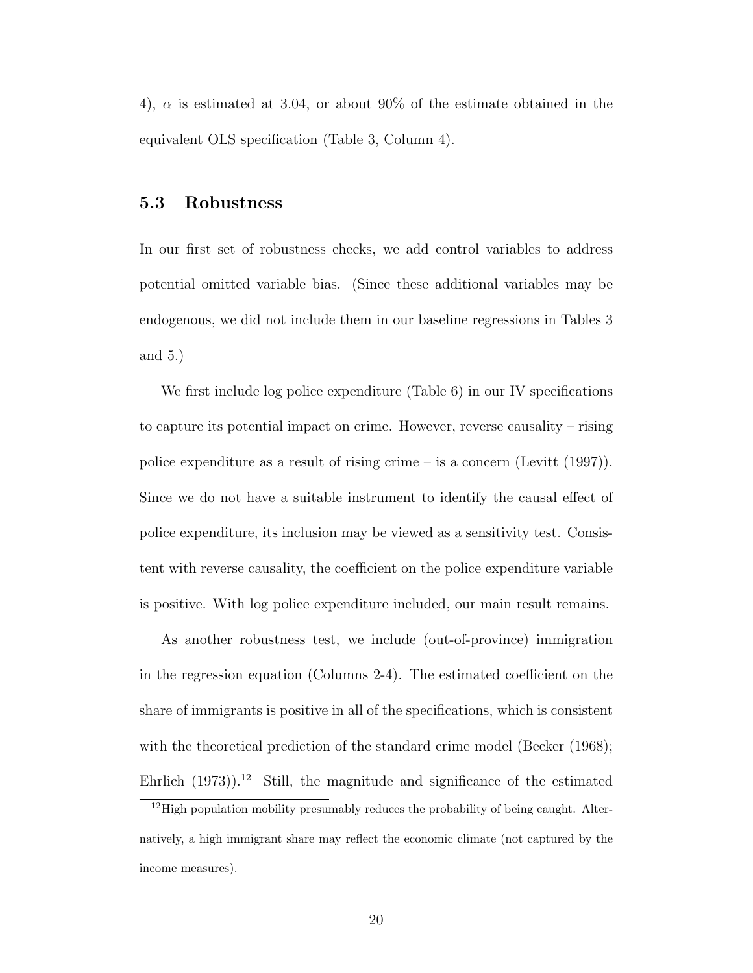4),  $\alpha$  is estimated at 3.04, or about 90% of the estimate obtained in the equivalent OLS specification (Table 3, Column 4).

#### 5.3 Robustness

In our first set of robustness checks, we add control variables to address potential omitted variable bias. (Since these additional variables may be endogenous, we did not include them in our baseline regressions in Tables 3 and 5.)

We first include log police expenditure (Table 6) in our IV specifications to capture its potential impact on crime. However, reverse causality – rising police expenditure as a result of rising crime – is a concern (Levitt (1997)). Since we do not have a suitable instrument to identify the causal effect of police expenditure, its inclusion may be viewed as a sensitivity test. Consistent with reverse causality, the coefficient on the police expenditure variable is positive. With log police expenditure included, our main result remains.

As another robustness test, we include (out-of-province) immigration in the regression equation (Columns 2-4). The estimated coefficient on the share of immigrants is positive in all of the specifications, which is consistent with the theoretical prediction of the standard crime model (Becker (1968); Ehrlich  $(1973)$ <sup>12</sup> Still, the magnitude and significance of the estimated

<sup>&</sup>lt;sup>12</sup>High population mobility presumably reduces the probability of being caught. Alternatively, a high immigrant share may reflect the economic climate (not captured by the income measures).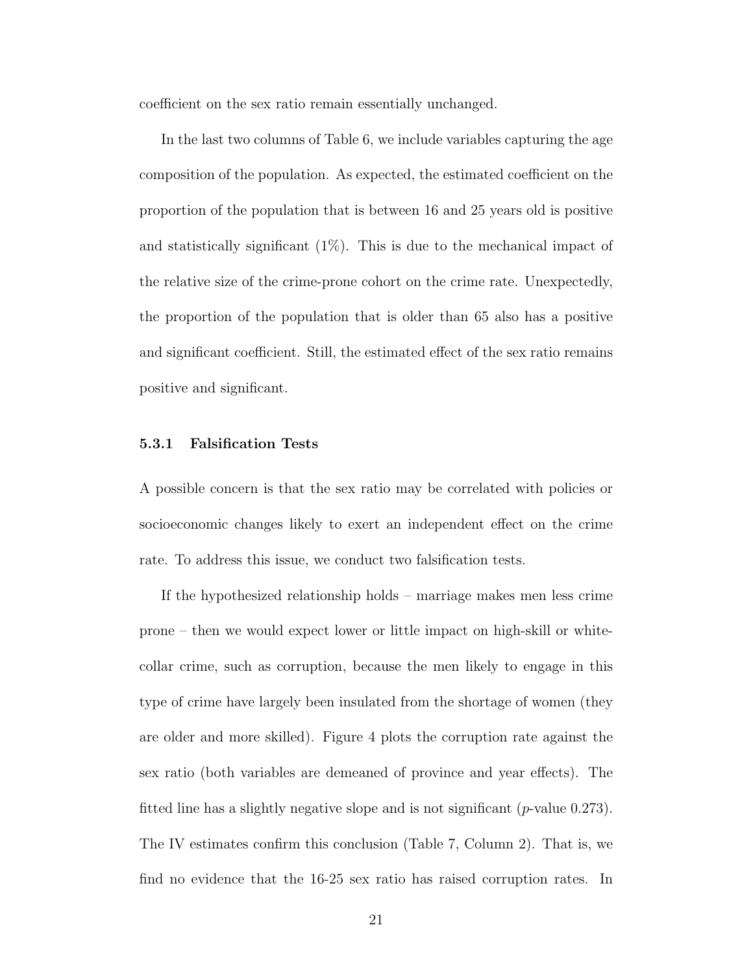coefficient on the sex ratio remain essentially unchanged.

In the last two columns of Table 6, we include variables capturing the age composition of the population. As expected, the estimated coefficient on the proportion of the population that is between 16 and 25 years old is positive and statistically significant  $(1\%)$ . This is due to the mechanical impact of the relative size of the crime-prone cohort on the crime rate. Unexpectedly, the proportion of the population that is older than 65 also has a positive and significant coefficient. Still, the estimated effect of the sex ratio remains positive and significant.

#### 5.3.1 Falsification Tests

A possible concern is that the sex ratio may be correlated with policies or socioeconomic changes likely to exert an independent effect on the crime rate. To address this issue, we conduct two falsification tests.

If the hypothesized relationship holds – marriage makes men less crime prone – then we would expect lower or little impact on high-skill or whitecollar crime, such as corruption, because the men likely to engage in this type of crime have largely been insulated from the shortage of women (they are older and more skilled). Figure 4 plots the corruption rate against the sex ratio (both variables are demeaned of province and year effects). The fitted line has a slightly negative slope and is not significant  $(p$ -value 0.273). The IV estimates confirm this conclusion (Table 7, Column 2). That is, we find no evidence that the 16-25 sex ratio has raised corruption rates. In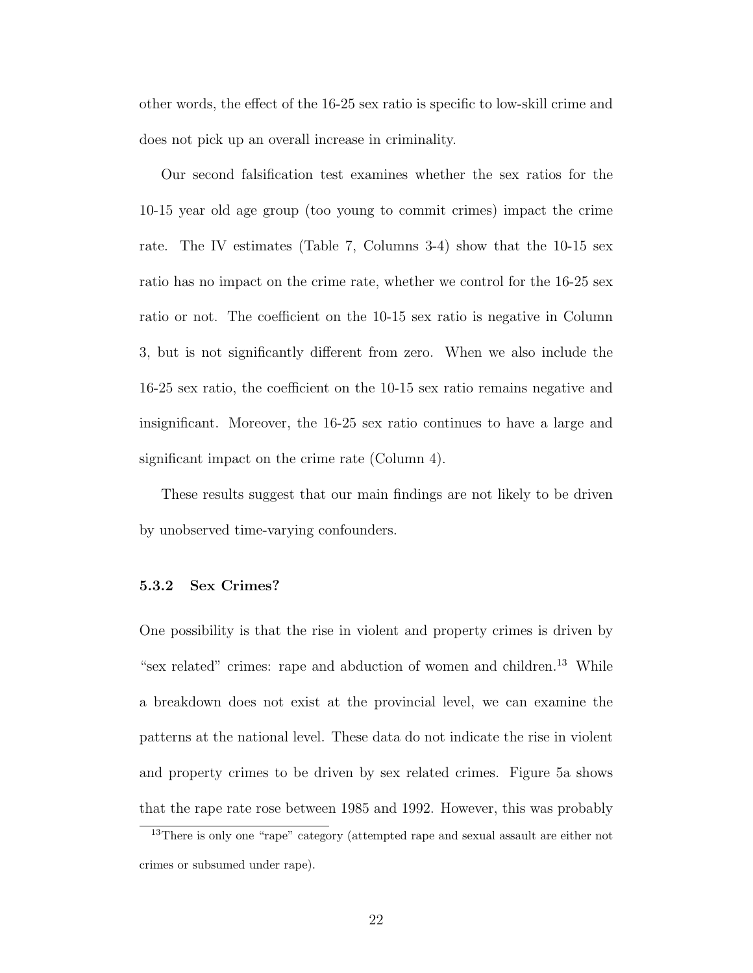other words, the effect of the 16-25 sex ratio is specific to low-skill crime and does not pick up an overall increase in criminality.

Our second falsification test examines whether the sex ratios for the 10-15 year old age group (too young to commit crimes) impact the crime rate. The IV estimates (Table 7, Columns 3-4) show that the 10-15 sex ratio has no impact on the crime rate, whether we control for the 16-25 sex ratio or not. The coefficient on the 10-15 sex ratio is negative in Column 3, but is not significantly different from zero. When we also include the 16-25 sex ratio, the coefficient on the 10-15 sex ratio remains negative and insignificant. Moreover, the 16-25 sex ratio continues to have a large and significant impact on the crime rate (Column 4).

These results suggest that our main findings are not likely to be driven by unobserved time-varying confounders.

#### 5.3.2 Sex Crimes?

One possibility is that the rise in violent and property crimes is driven by "sex related" crimes: rape and abduction of women and children.<sup>13</sup> While a breakdown does not exist at the provincial level, we can examine the patterns at the national level. These data do not indicate the rise in violent and property crimes to be driven by sex related crimes. Figure 5a shows that the rape rate rose between 1985 and 1992. However, this was probably

<sup>&</sup>lt;sup>13</sup>There is only one "rape" category (attempted rape and sexual assault are either not crimes or subsumed under rape).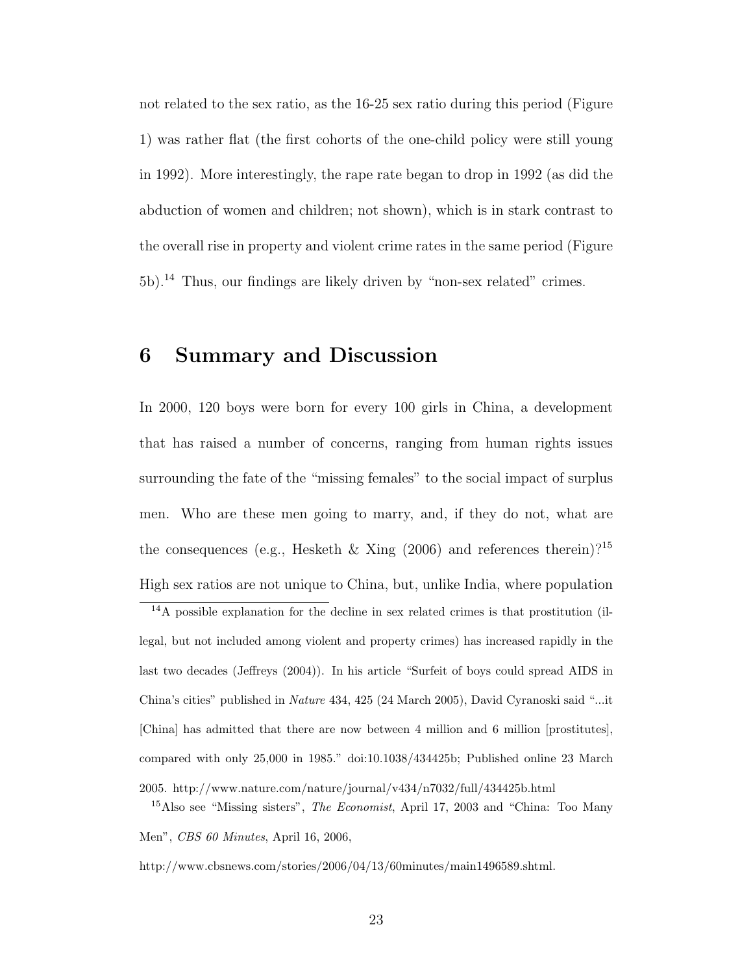not related to the sex ratio, as the 16-25 sex ratio during this period (Figure 1) was rather flat (the first cohorts of the one-child policy were still young in 1992). More interestingly, the rape rate began to drop in 1992 (as did the abduction of women and children; not shown), which is in stark contrast to the overall rise in property and violent crime rates in the same period (Figure 5b).<sup>14</sup> Thus, our findings are likely driven by "non-sex related" crimes.

## 6 Summary and Discussion

In 2000, 120 boys were born for every 100 girls in China, a development that has raised a number of concerns, ranging from human rights issues surrounding the fate of the "missing females" to the social impact of surplus men. Who are these men going to marry, and, if they do not, what are the consequences (e.g., Hesketh & Xing (2006) and references therein)?<sup>15</sup> High sex ratios are not unique to China, but, unlike India, where population

<sup>14</sup>A possible explanation for the decline in sex related crimes is that prostitution (illegal, but not included among violent and property crimes) has increased rapidly in the last two decades (Jeffreys (2004)). In his article "Surfeit of boys could spread AIDS in China's cities" published in Nature 434, 425 (24 March 2005), David Cyranoski said "...it [China] has admitted that there are now between 4 million and 6 million [prostitutes], compared with only 25,000 in 1985." doi:10.1038/434425b; Published online 23 March 2005. http://www.nature.com/nature/journal/v434/n7032/full/434425b.html

<sup>15</sup>Also see "Missing sisters", *The Economist*, April 17, 2003 and "China: Too Many" Men", CBS 60 Minutes, April 16, 2006,

http://www.cbsnews.com/stories/2006/04/13/60minutes/main1496589.shtml.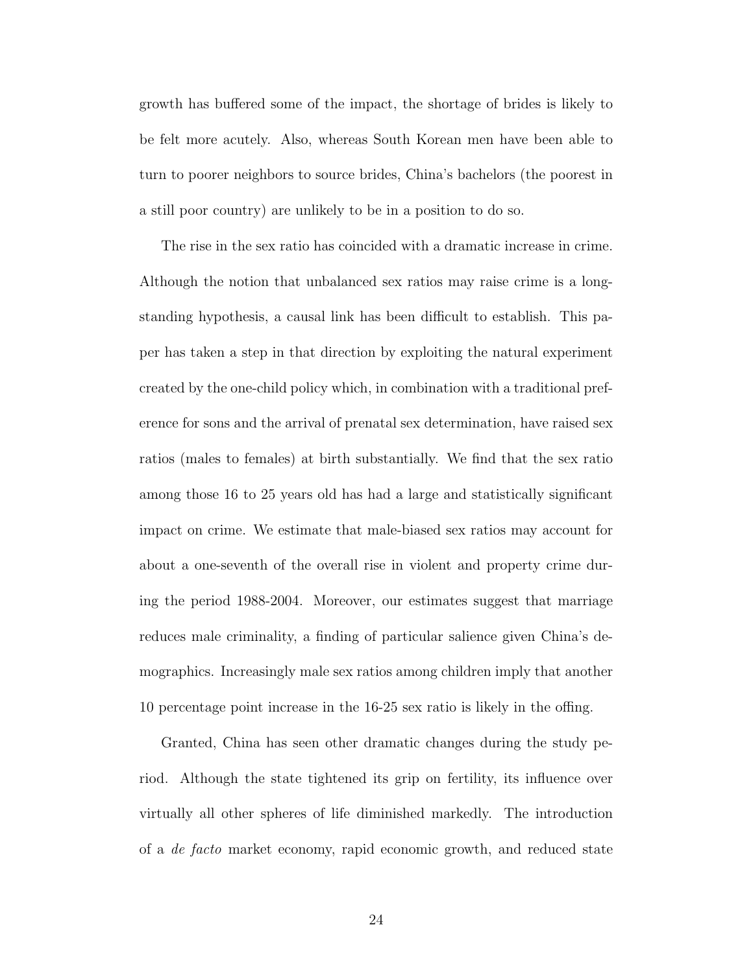growth has buffered some of the impact, the shortage of brides is likely to be felt more acutely. Also, whereas South Korean men have been able to turn to poorer neighbors to source brides, China's bachelors (the poorest in a still poor country) are unlikely to be in a position to do so.

The rise in the sex ratio has coincided with a dramatic increase in crime. Although the notion that unbalanced sex ratios may raise crime is a longstanding hypothesis, a causal link has been difficult to establish. This paper has taken a step in that direction by exploiting the natural experiment created by the one-child policy which, in combination with a traditional preference for sons and the arrival of prenatal sex determination, have raised sex ratios (males to females) at birth substantially. We find that the sex ratio among those 16 to 25 years old has had a large and statistically significant impact on crime. We estimate that male-biased sex ratios may account for about a one-seventh of the overall rise in violent and property crime during the period 1988-2004. Moreover, our estimates suggest that marriage reduces male criminality, a finding of particular salience given China's demographics. Increasingly male sex ratios among children imply that another 10 percentage point increase in the 16-25 sex ratio is likely in the offing.

Granted, China has seen other dramatic changes during the study period. Although the state tightened its grip on fertility, its influence over virtually all other spheres of life diminished markedly. The introduction of a de facto market economy, rapid economic growth, and reduced state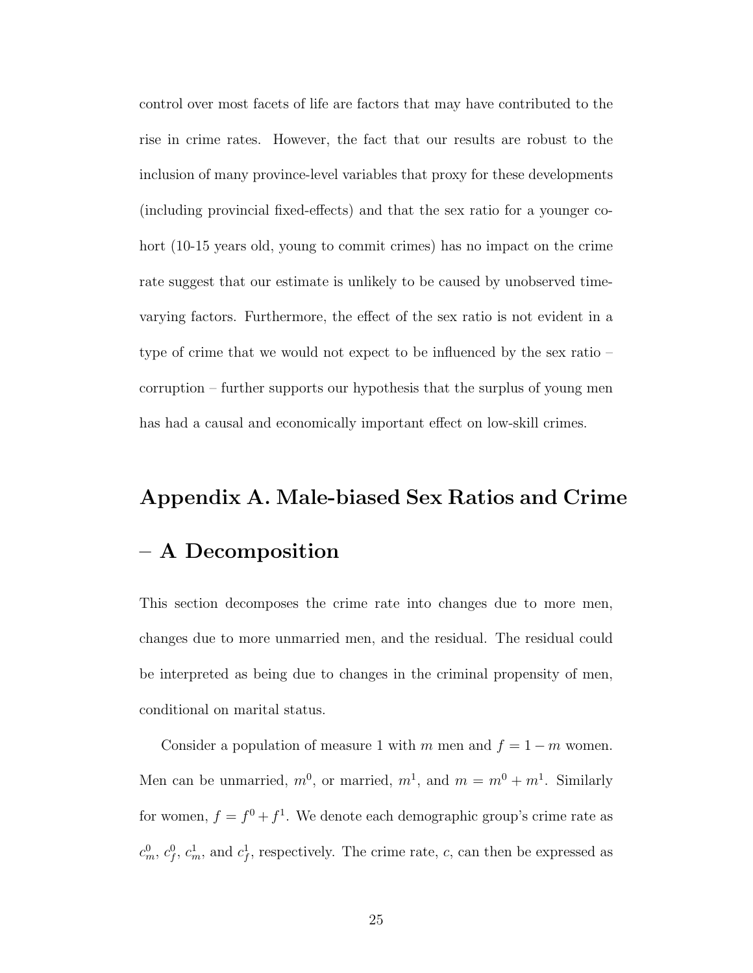control over most facets of life are factors that may have contributed to the rise in crime rates. However, the fact that our results are robust to the inclusion of many province-level variables that proxy for these developments (including provincial fixed-effects) and that the sex ratio for a younger cohort (10-15 years old, young to commit crimes) has no impact on the crime rate suggest that our estimate is unlikely to be caused by unobserved timevarying factors. Furthermore, the effect of the sex ratio is not evident in a type of crime that we would not expect to be influenced by the sex ratio – corruption – further supports our hypothesis that the surplus of young men has had a causal and economically important effect on low-skill crimes.

# Appendix A. Male-biased Sex Ratios and Crime – A Decomposition

This section decomposes the crime rate into changes due to more men, changes due to more unmarried men, and the residual. The residual could be interpreted as being due to changes in the criminal propensity of men, conditional on marital status.

Consider a population of measure 1 with m men and  $f = 1 - m$  women. Men can be unmarried,  $m^0$ , or married,  $m^1$ , and  $m = m^0 + m^1$ . Similarly for women,  $f = f^0 + f^1$ . We denote each demographic group's crime rate as  $c_m^0, c_f^0, c_m^1$ , and  $c_f^1$ , respectively. The crime rate, c, can then be expressed as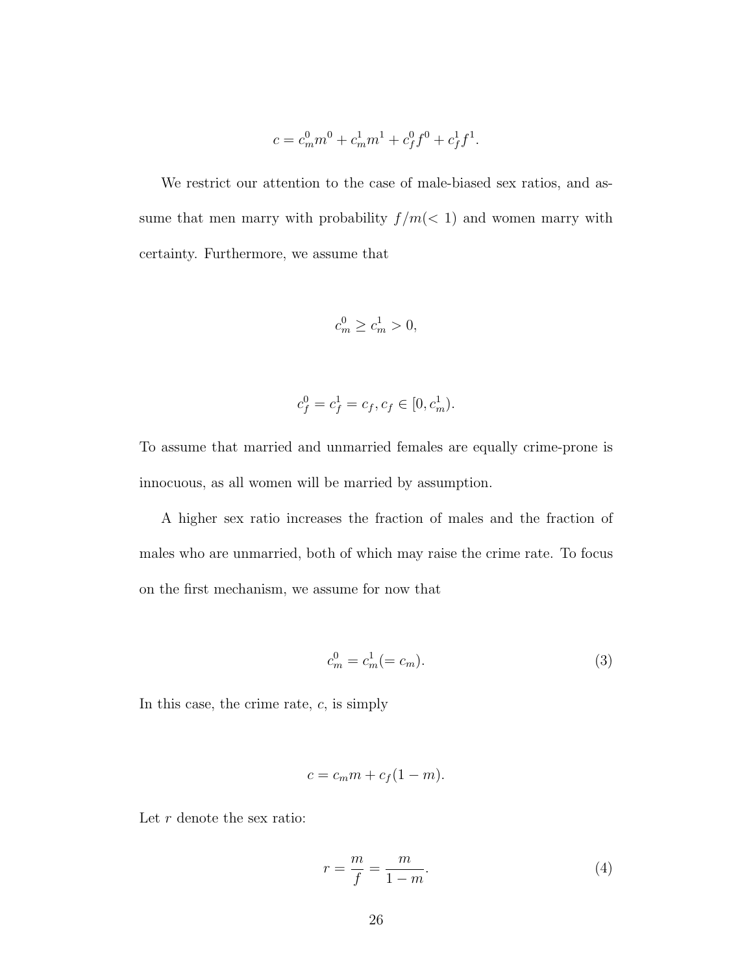$$
c = c_m^0 m^0 + c_m^1 m^1 + c_f^0 f^0 + c_f^1 f^1.
$$

We restrict our attention to the case of male-biased sex ratios, and assume that men marry with probability  $f/m(< 1)$  and women marry with certainty. Furthermore, we assume that

$$
c_m^0 \ge c_m^1 > 0,
$$

$$
c_f^0 = c_f^1 = c_f, c_f \in [0, c_m^1).
$$

To assume that married and unmarried females are equally crime-prone is innocuous, as all women will be married by assumption.

A higher sex ratio increases the fraction of males and the fraction of males who are unmarried, both of which may raise the crime rate. To focus on the first mechanism, we assume for now that

$$
c_m^0 = c_m^1 (= c_m). \tag{3}
$$

In this case, the crime rate,  $c$ , is simply

$$
c = c_m m + c_f (1 - m).
$$

Let  $r$  denote the sex ratio:

$$
r = \frac{m}{f} = \frac{m}{1 - m}.\tag{4}
$$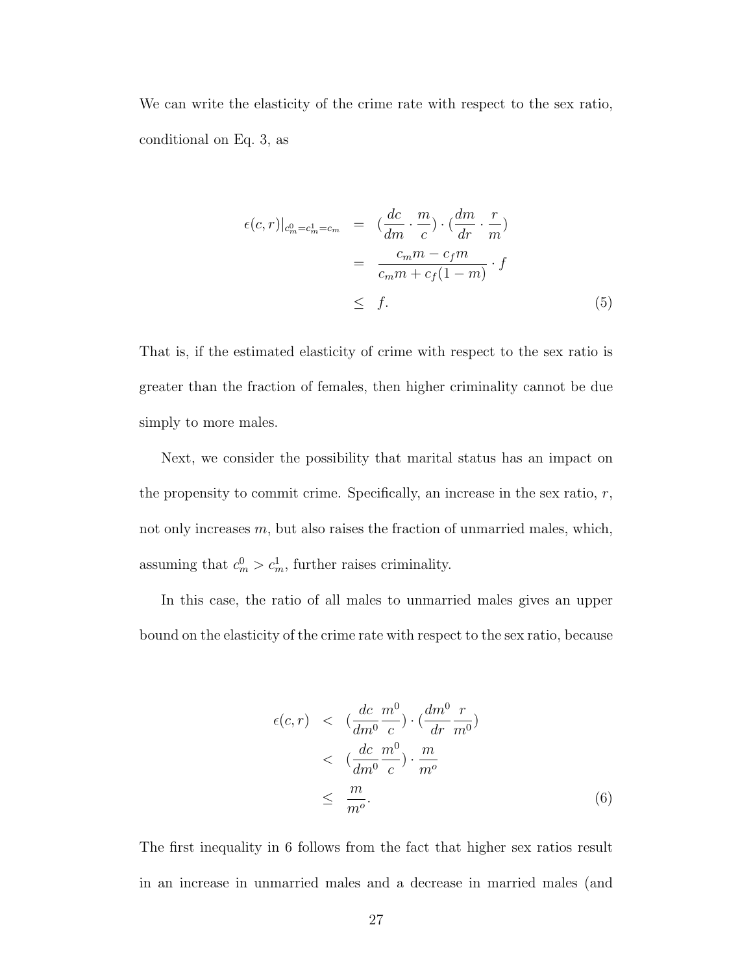We can write the elasticity of the crime rate with respect to the sex ratio, conditional on Eq. 3, as

$$
\epsilon(c,r)|_{c_m^0 = c_m^1 = c_m} = \left(\frac{dc}{dm} \cdot \frac{m}{c}\right) \cdot \left(\frac{dm}{dr} \cdot \frac{r}{m}\right)
$$

$$
= \frac{c_m m - c_f m}{c_m m + c_f (1 - m)} \cdot f
$$

$$
\leq f. \tag{5}
$$

That is, if the estimated elasticity of crime with respect to the sex ratio is greater than the fraction of females, then higher criminality cannot be due simply to more males.

Next, we consider the possibility that marital status has an impact on the propensity to commit crime. Specifically, an increase in the sex ratio,  $r$ , not only increases  $m$ , but also raises the fraction of unmarried males, which, assuming that  $c_m^0 > c_m^1$ , further raises criminality.

In this case, the ratio of all males to unmarried males gives an upper bound on the elasticity of the crime rate with respect to the sex ratio, because

$$
\epsilon(c,r) < (\frac{dc}{dm^0} \frac{m^0}{c}) \cdot (\frac{dm^0}{dr} \frac{r}{m^0})
$$
  

$$
< (\frac{dc}{dm^0} \frac{m^0}{c}) \cdot \frac{m}{m^o}
$$
  

$$
\leq \frac{m}{m^o}.
$$
 (6)

The first inequality in 6 follows from the fact that higher sex ratios result in an increase in unmarried males and a decrease in married males (and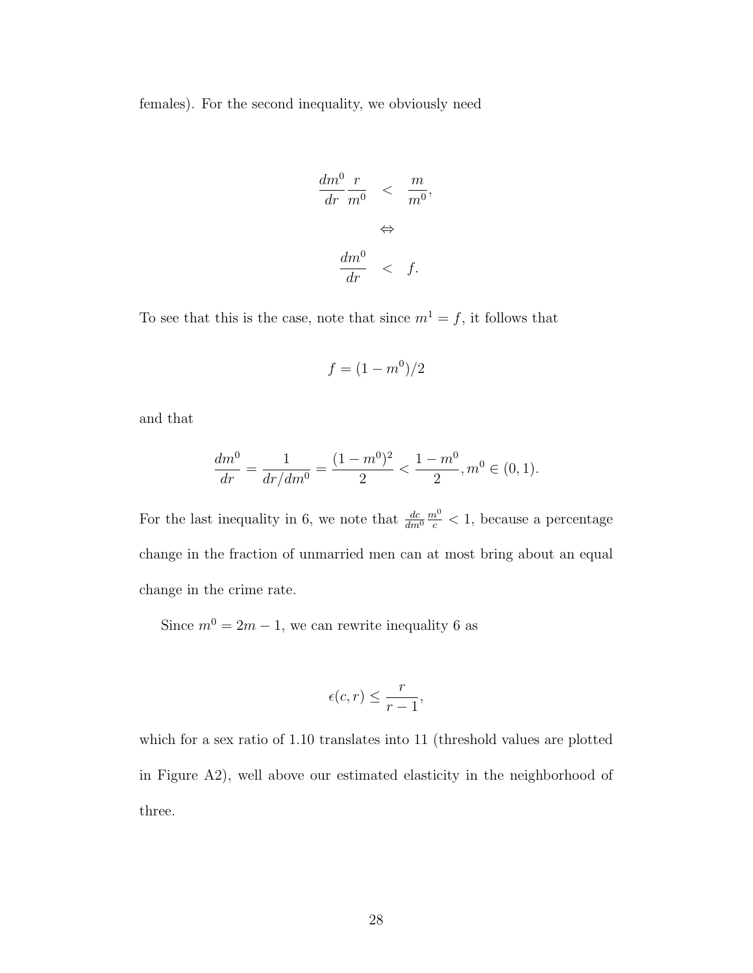females). For the second inequality, we obviously need

$$
\frac{dm^0}{dr} \frac{r}{m^0} < \frac{m}{m^0},
$$
\n
$$
\Leftrightarrow
$$
\n
$$
\frac{dm^0}{dr} < f.
$$

To see that this is the case, note that since  $m^1 = f$ , it follows that

$$
f = (1 - m^0)/2
$$

and that

$$
\frac{dm^0}{dr} = \frac{1}{dr/dm^0} = \frac{(1-m^0)^2}{2} < \frac{1-m^0}{2}, m^0 \in (0,1).
$$

For the last inequality in 6, we note that  $\frac{dc}{dm^0}$  $\frac{m^0}{c}$  < 1, because a percentage change in the fraction of unmarried men can at most bring about an equal change in the crime rate.

Since  $m^0 = 2m - 1$ , we can rewrite inequality 6 as

$$
\epsilon(c,r) \le \frac{r}{r-1},
$$

which for a sex ratio of 1.10 translates into 11 (threshold values are plotted in Figure A2), well above our estimated elasticity in the neighborhood of three.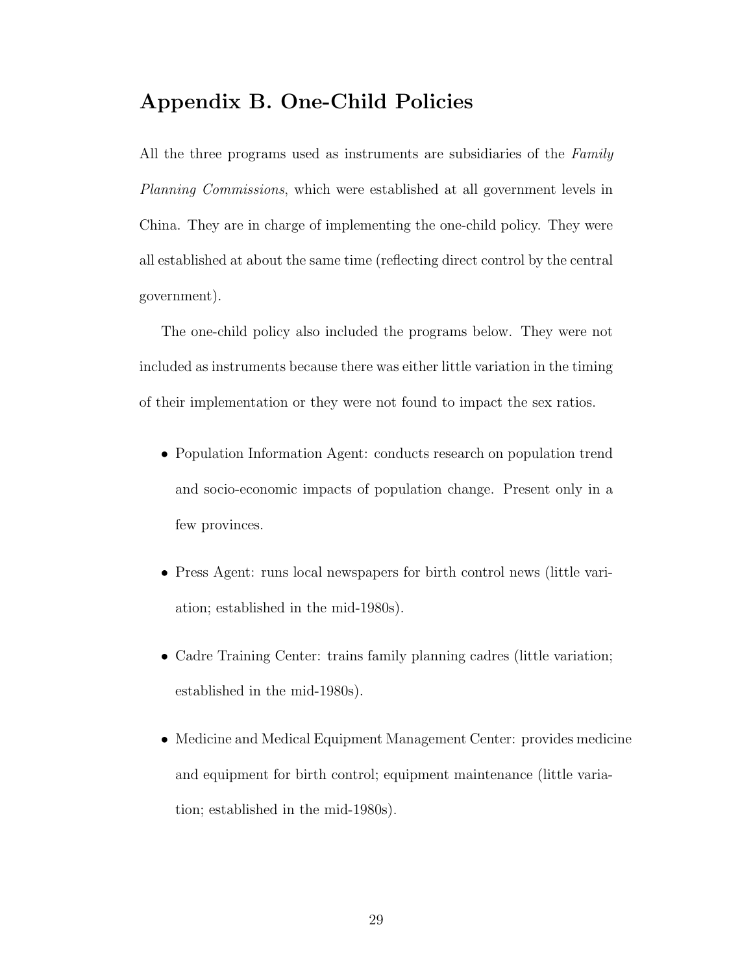## Appendix B. One-Child Policies

All the three programs used as instruments are subsidiaries of the Family Planning Commissions, which were established at all government levels in China. They are in charge of implementing the one-child policy. They were all established at about the same time (reflecting direct control by the central government).

The one-child policy also included the programs below. They were not included as instruments because there was either little variation in the timing of their implementation or they were not found to impact the sex ratios.

- Population Information Agent: conducts research on population trend and socio-economic impacts of population change. Present only in a few provinces.
- Press Agent: runs local newspapers for birth control news (little variation; established in the mid-1980s).
- Cadre Training Center: trains family planning cadres (little variation; established in the mid-1980s).
- Medicine and Medical Equipment Management Center: provides medicine and equipment for birth control; equipment maintenance (little variation; established in the mid-1980s).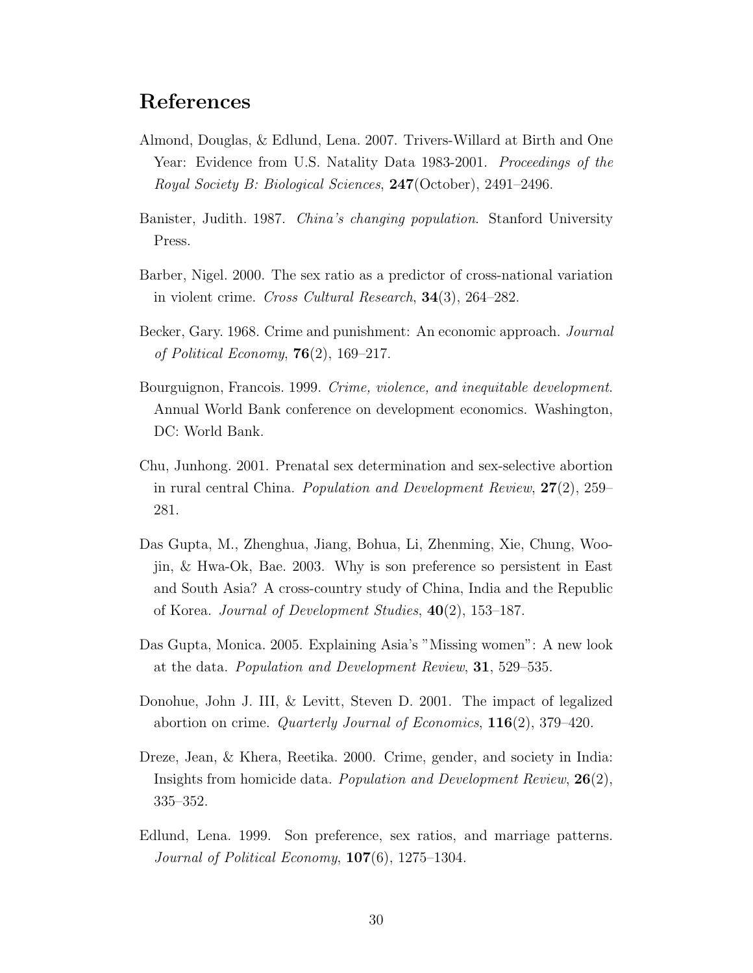## References

- Almond, Douglas, & Edlund, Lena. 2007. Trivers-Willard at Birth and One Year: Evidence from U.S. Natality Data 1983-2001. Proceedings of the Royal Society B: Biological Sciences, 247(October), 2491–2496.
- Banister, Judith. 1987. China's changing population. Stanford University Press.
- Barber, Nigel. 2000. The sex ratio as a predictor of cross-national variation in violent crime. Cross Cultural Research, 34(3), 264–282.
- Becker, Gary. 1968. Crime and punishment: An economic approach. Journal of Political Economy,  $76(2)$ , 169–217.
- Bourguignon, Francois. 1999. Crime, violence, and inequitable development. Annual World Bank conference on development economics. Washington, DC: World Bank.
- Chu, Junhong. 2001. Prenatal sex determination and sex-selective abortion in rural central China. *Population and Development Review*,  $27(2)$ ,  $259-$ 281.
- Das Gupta, M., Zhenghua, Jiang, Bohua, Li, Zhenming, Xie, Chung, Woojin, & Hwa-Ok, Bae. 2003. Why is son preference so persistent in East and South Asia? A cross-country study of China, India and the Republic of Korea. Journal of Development Studies, 40(2), 153–187.
- Das Gupta, Monica. 2005. Explaining Asia's "Missing women": A new look at the data. Population and Development Review, 31, 529–535.
- Donohue, John J. III, & Levitt, Steven D. 2001. The impact of legalized abortion on crime. Quarterly Journal of Economics, 116(2), 379–420.
- Dreze, Jean, & Khera, Reetika. 2000. Crime, gender, and society in India: Insights from homicide data. *Population and Development Review*,  $26(2)$ , 335–352.
- Edlund, Lena. 1999. Son preference, sex ratios, and marriage patterns. Journal of Political Economy,  $107(6)$ , 1275–1304.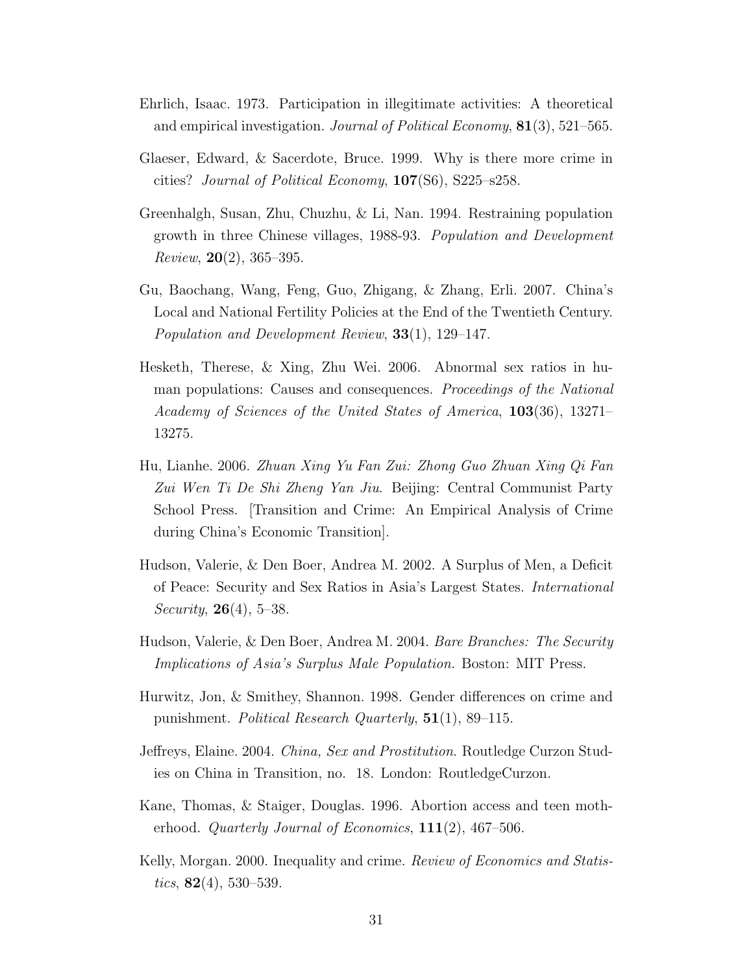- Ehrlich, Isaac. 1973. Participation in illegitimate activities: A theoretical and empirical investigation. Journal of Political Economy, 81(3), 521–565.
- Glaeser, Edward, & Sacerdote, Bruce. 1999. Why is there more crime in cities? Journal of Political Economy, 107(S6), S225–s258.
- Greenhalgh, Susan, Zhu, Chuzhu, & Li, Nan. 1994. Restraining population growth in three Chinese villages, 1988-93. Population and Development *Review*, **20**(2), 365–395.
- Gu, Baochang, Wang, Feng, Guo, Zhigang, & Zhang, Erli. 2007. China's Local and National Fertility Policies at the End of the Twentieth Century. Population and Development Review, 33(1), 129–147.
- Hesketh, Therese, & Xing, Zhu Wei. 2006. Abnormal sex ratios in human populations: Causes and consequences. Proceedings of the National Academy of Sciences of the United States of America, 103(36), 13271– 13275.
- Hu, Lianhe. 2006. Zhuan Xing Yu Fan Zui: Zhong Guo Zhuan Xing Qi Fan Zui Wen Ti De Shi Zheng Yan Jiu. Beijing: Central Communist Party School Press. [Transition and Crime: An Empirical Analysis of Crime during China's Economic Transition].
- Hudson, Valerie, & Den Boer, Andrea M. 2002. A Surplus of Men, a Deficit of Peace: Security and Sex Ratios in Asia's Largest States. International *Security*, **26**(4), 5–38.
- Hudson, Valerie, & Den Boer, Andrea M. 2004. Bare Branches: The Security Implications of Asia's Surplus Male Population. Boston: MIT Press.
- Hurwitz, Jon, & Smithey, Shannon. 1998. Gender differences on crime and punishment. Political Research Quarterly, 51(1), 89–115.
- Jeffreys, Elaine. 2004. China, Sex and Prostitution. Routledge Curzon Studies on China in Transition, no. 18. London: RoutledgeCurzon.
- Kane, Thomas, & Staiger, Douglas. 1996. Abortion access and teen motherhood. Quarterly Journal of Economics,  $111(2)$ , 467–506.
- Kelly, Morgan. 2000. Inequality and crime. Review of Economics and Statistics,  $82(4)$ , 530–539.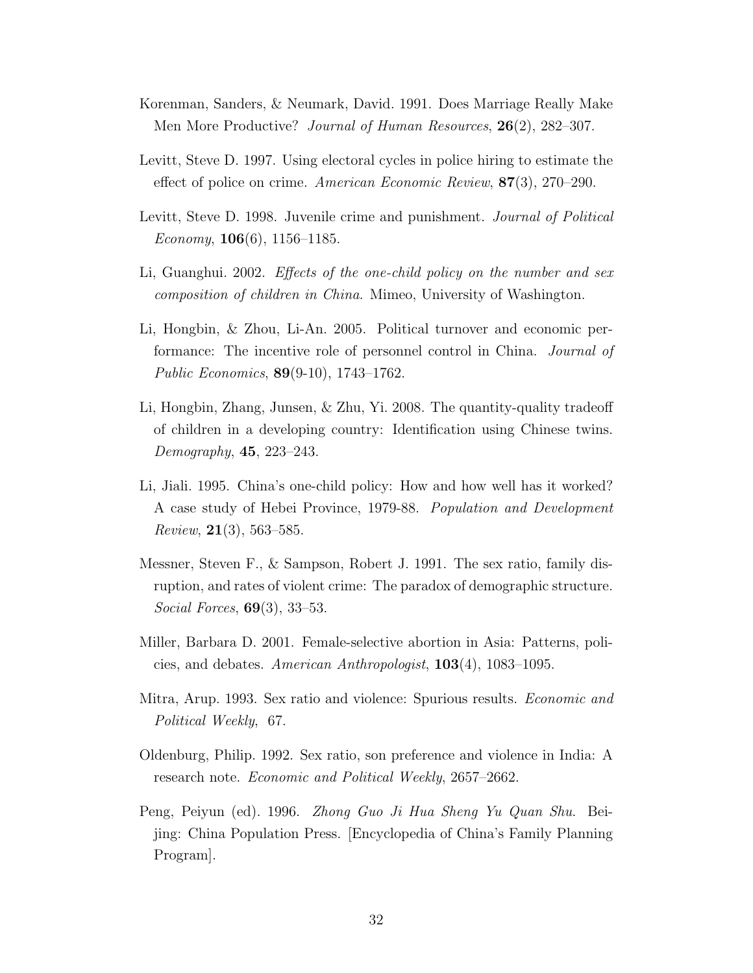- Korenman, Sanders, & Neumark, David. 1991. Does Marriage Really Make Men More Productive? Journal of Human Resources, 26(2), 282–307.
- Levitt, Steve D. 1997. Using electoral cycles in police hiring to estimate the effect of police on crime. American Economic Review, 87(3), 270–290.
- Levitt, Steve D. 1998. Juvenile crime and punishment. *Journal of Political* Economy,  $106(6)$ ,  $1156-1185$ .
- Li, Guanghui. 2002. Effects of the one-child policy on the number and sex composition of children in China. Mimeo, University of Washington.
- Li, Hongbin, & Zhou, Li-An. 2005. Political turnover and economic performance: The incentive role of personnel control in China. Journal of Public Economics, 89(9-10), 1743–1762.
- Li, Hongbin, Zhang, Junsen, & Zhu, Yi. 2008. The quantity-quality tradeoff of children in a developing country: Identification using Chinese twins. Demography, 45, 223–243.
- Li, Jiali. 1995. China's one-child policy: How and how well has it worked? A case study of Hebei Province, 1979-88. Population and Development *Review*,  $21(3)$ , 563–585.
- Messner, Steven F., & Sampson, Robert J. 1991. The sex ratio, family disruption, and rates of violent crime: The paradox of demographic structure. Social Forces, 69(3), 33–53.
- Miller, Barbara D. 2001. Female-selective abortion in Asia: Patterns, policies, and debates. American Anthropologist, 103(4), 1083–1095.
- Mitra, Arup. 1993. Sex ratio and violence: Spurious results. Economic and Political Weekly, 67.
- Oldenburg, Philip. 1992. Sex ratio, son preference and violence in India: A research note. Economic and Political Weekly, 2657–2662.
- Peng, Peiyun (ed). 1996. Zhong Guo Ji Hua Sheng Yu Quan Shu. Beijing: China Population Press. [Encyclopedia of China's Family Planning Program].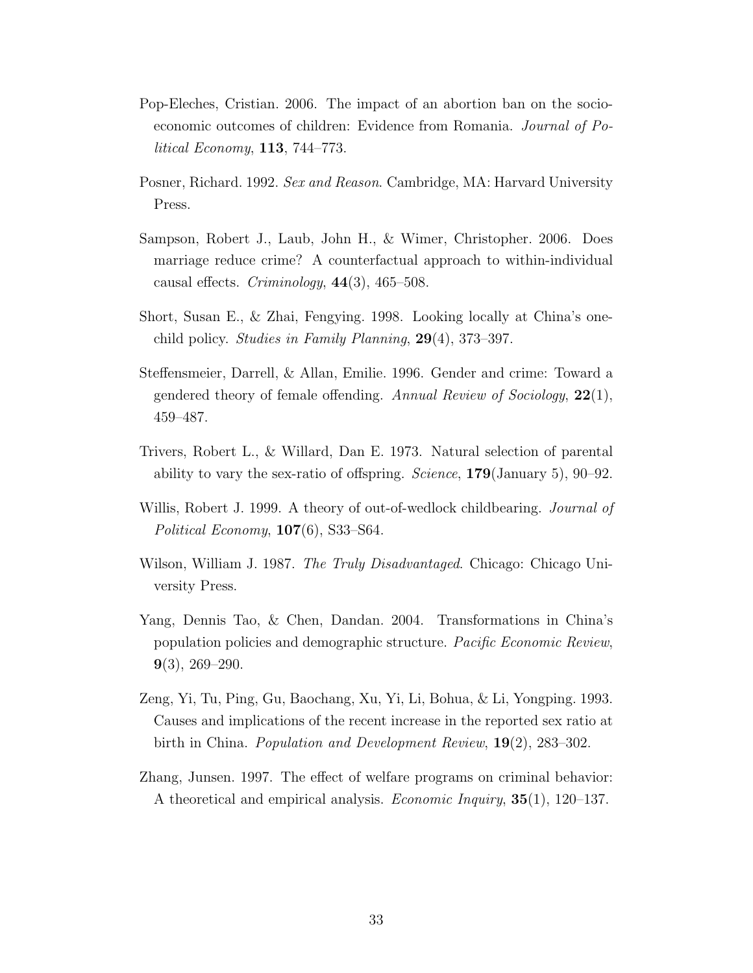- Pop-Eleches, Cristian. 2006. The impact of an abortion ban on the socioeconomic outcomes of children: Evidence from Romania. Journal of Political Economy, 113, 744–773.
- Posner, Richard. 1992. Sex and Reason. Cambridge, MA: Harvard University Press.
- Sampson, Robert J., Laub, John H., & Wimer, Christopher. 2006. Does marriage reduce crime? A counterfactual approach to within-individual causal effects. Criminology,  $44(3)$ ,  $465-508$ .
- Short, Susan E., & Zhai, Fengying. 1998. Looking locally at China's onechild policy. Studies in Family Planning, 29(4), 373–397.
- Steffensmeier, Darrell, & Allan, Emilie. 1996. Gender and crime: Toward a gendered theory of female offending. Annual Review of Sociology,  $22(1)$ , 459–487.
- Trivers, Robert L., & Willard, Dan E. 1973. Natural selection of parental ability to vary the sex-ratio of offspring. *Science*,  $179$ (January 5), 90–92.
- Willis, Robert J. 1999. A theory of out-of-wedlock childbearing. *Journal of* Political Economy,  $107(6)$ , S33–S64.
- Wilson, William J. 1987. The Truly Disadvantaged. Chicago: Chicago University Press.
- Yang, Dennis Tao, & Chen, Dandan. 2004. Transformations in China's population policies and demographic structure. Pacific Economic Review,  $9(3)$ , 269–290.
- Zeng, Yi, Tu, Ping, Gu, Baochang, Xu, Yi, Li, Bohua, & Li, Yongping. 1993. Causes and implications of the recent increase in the reported sex ratio at birth in China. Population and Development Review, 19(2), 283–302.
- Zhang, Junsen. 1997. The effect of welfare programs on criminal behavior: A theoretical and empirical analysis. Economic Inquiry, 35(1), 120–137.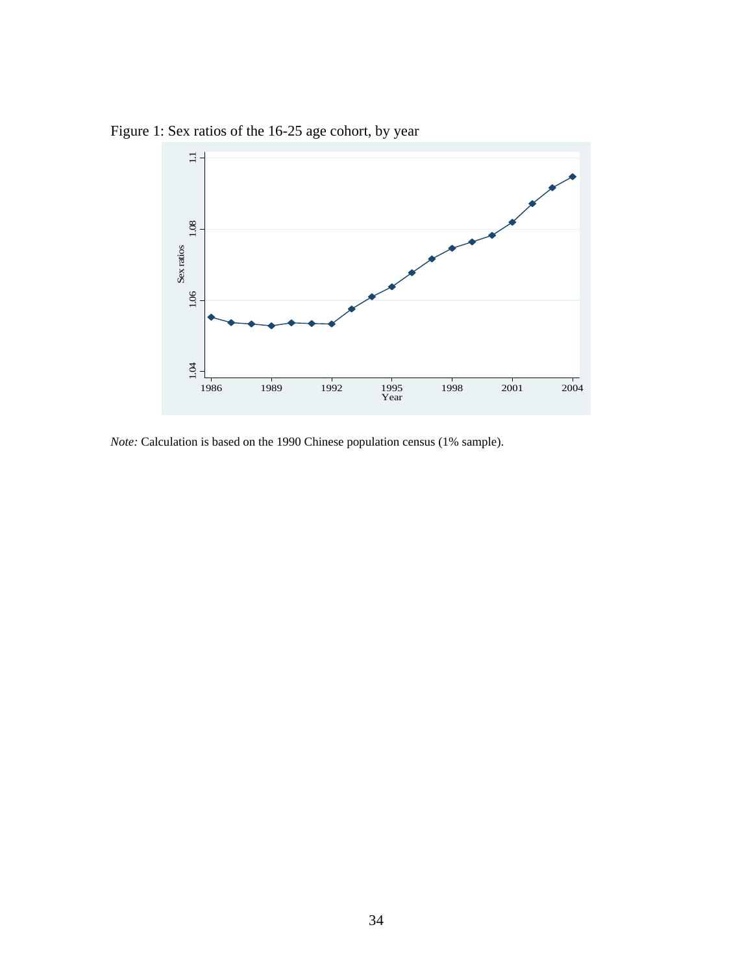Figure 1: Sex ratios of the 16-25 age cohort, by year



*Note:* Calculation is based on the 1990 Chinese population census (1% sample).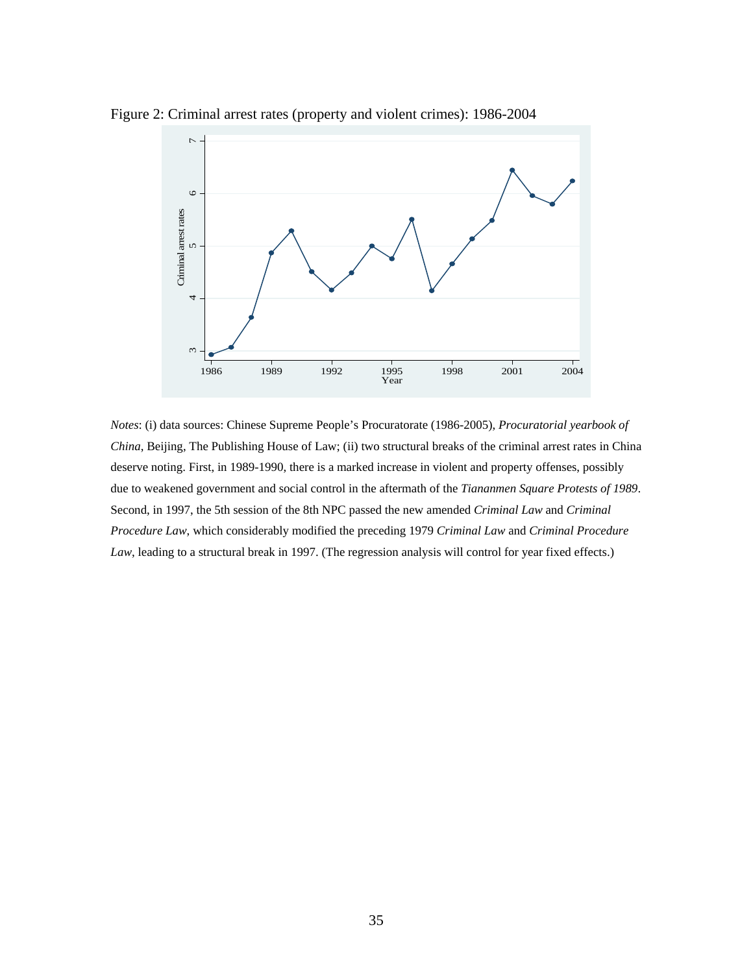

Figure 2: Criminal arrest rates (property and violent crimes): 1986-2004

*Notes*: (i) data sources: Chinese Supreme People's Procuratorate (1986-2005), *Procuratorial yearbook of China*, Beijing, The Publishing House of Law; (ii) two structural breaks of the criminal arrest rates in China deserve noting. First, in 1989-1990, there is a marked increase in violent and property offenses, possibly due to weakened government and social control in the aftermath of the *Tiananmen Square Protests of 1989*. Second, in 1997, the 5th session of the 8th NPC passed the new amended *Criminal Law* and *Criminal Procedure Law*, which considerably modified the preceding 1979 *Criminal Law* and *Criminal Procedure Law*, leading to a structural break in 1997. (The regression analysis will control for year fixed effects.)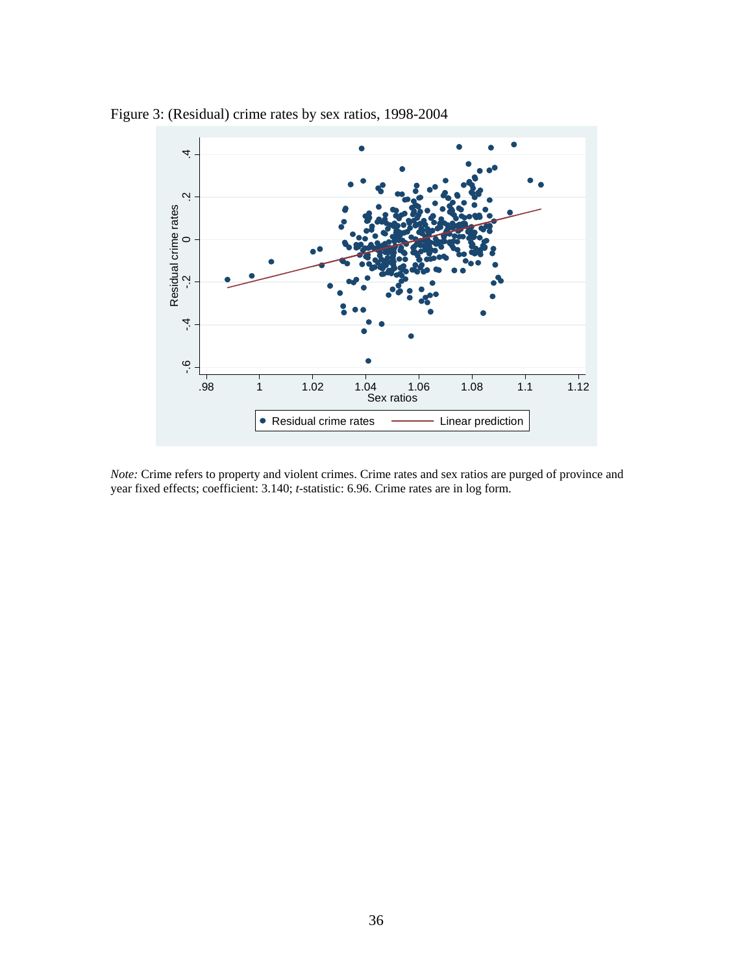

Figure 3: (Residual) crime rates by sex ratios, 1998-2004

*Note:* Crime refers to property and violent crimes. Crime rates and sex ratios are purged of province and year fixed effects; coefficient: 3.140; *t*-statistic: 6.96. Crime rates are in log form.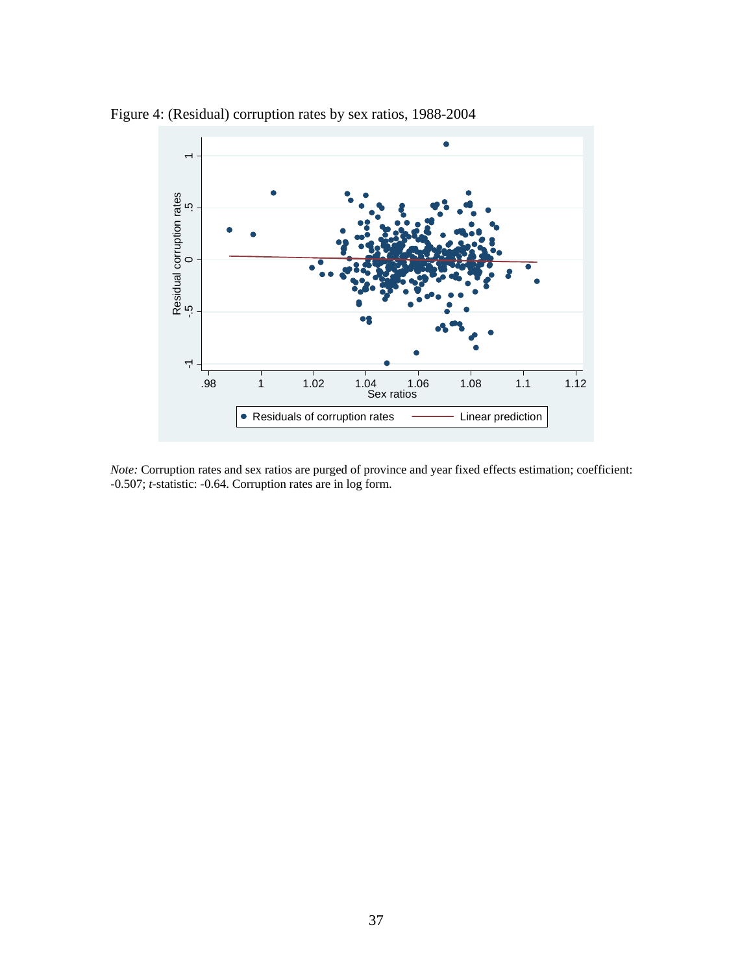

Figure 4: (Residual) corruption rates by sex ratios, 1988-2004

*Note:* Corruption rates and sex ratios are purged of province and year fixed effects estimation; coefficient: -0.507; *t*-statistic: -0.64. Corruption rates are in log form.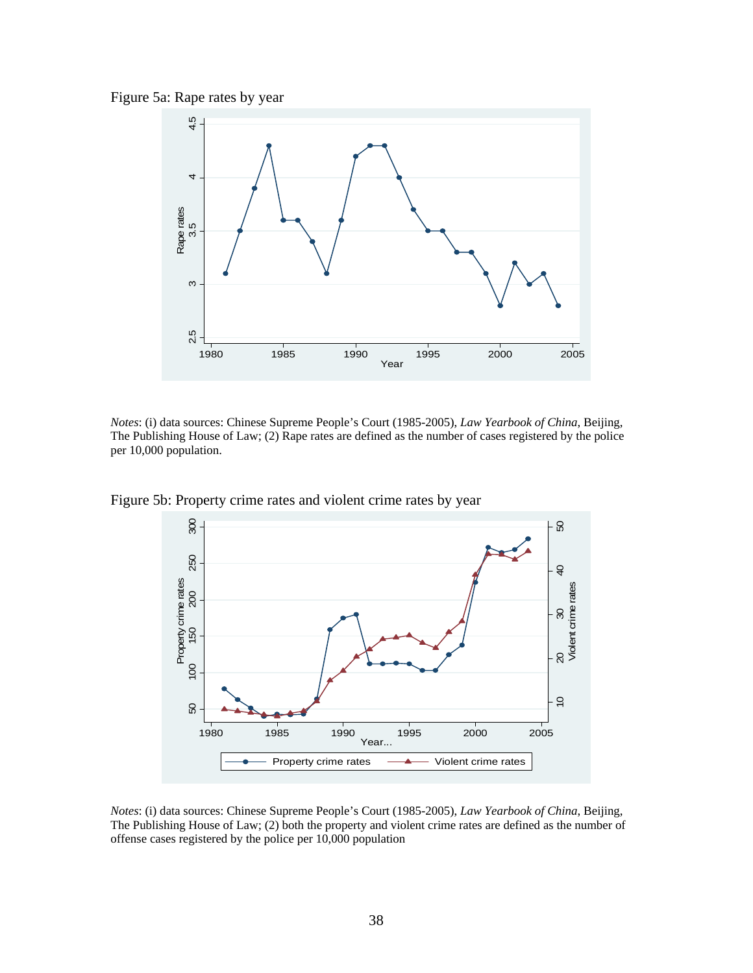Figure 5a: Rape rates by year



*Notes*: (i) data sources: Chinese Supreme People's Court (1985-2005), *Law Yearbook of China*, Beijing, The Publishing House of Law; (2) Rape rates are defined as the number of cases registered by the police per 10,000 population.



Figure 5b: Property crime rates and violent crime rates by year

*Notes*: (i) data sources: Chinese Supreme People's Court (1985-2005), *Law Yearbook of China*, Beijing, The Publishing House of Law; (2) both the property and violent crime rates are defined as the number of offense cases registered by the police per 10,000 population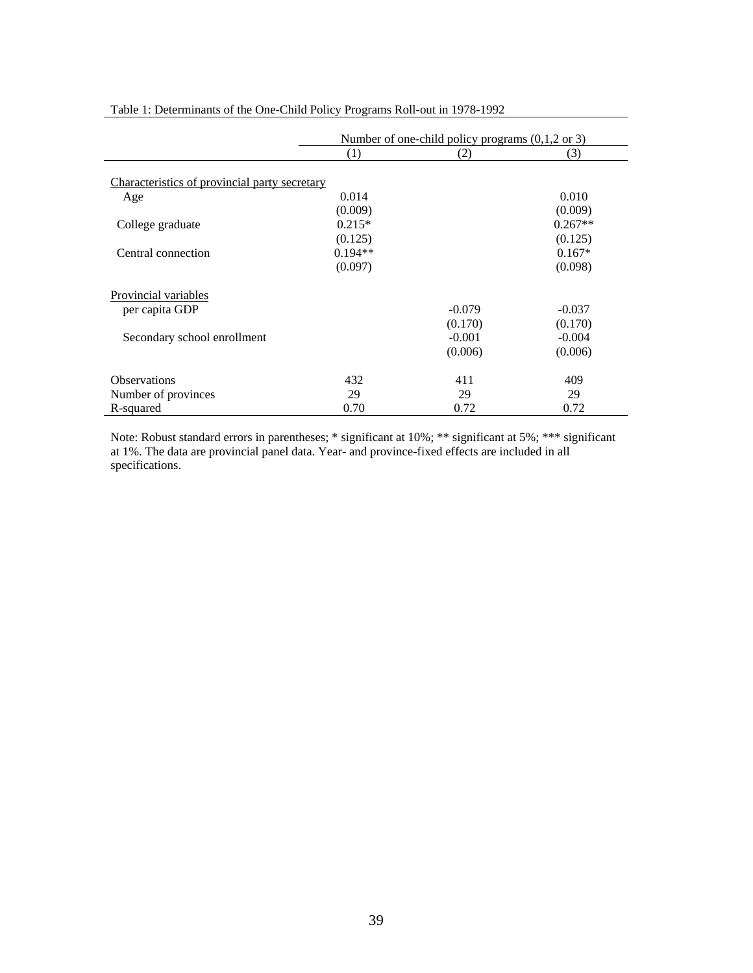|                                               |           | Number of one-child policy programs $(0,1,2 \text{ or } 3)$ |           |  |  |
|-----------------------------------------------|-----------|-------------------------------------------------------------|-----------|--|--|
|                                               | (1)       | (2)                                                         | (3)       |  |  |
|                                               |           |                                                             |           |  |  |
| Characteristics of provincial party secretary |           |                                                             |           |  |  |
| Age                                           | 0.014     |                                                             | 0.010     |  |  |
|                                               | (0.009)   |                                                             | (0.009)   |  |  |
| College graduate                              | $0.215*$  |                                                             | $0.267**$ |  |  |
|                                               | (0.125)   |                                                             | (0.125)   |  |  |
| Central connection                            | $0.194**$ |                                                             | $0.167*$  |  |  |
|                                               | (0.097)   |                                                             | (0.098)   |  |  |
| <b>Provincial variables</b>                   |           |                                                             |           |  |  |
| per capita GDP                                |           | $-0.079$                                                    | $-0.037$  |  |  |
|                                               |           |                                                             |           |  |  |
|                                               |           | (0.170)                                                     | (0.170)   |  |  |
| Secondary school enrollment                   |           | $-0.001$                                                    | $-0.004$  |  |  |
|                                               |           | (0.006)                                                     | (0.006)   |  |  |
| <b>Observations</b>                           | 432       | 411                                                         | 409       |  |  |
| Number of provinces                           | 29        | 29                                                          | 29        |  |  |
| R-squared                                     | 0.70      | 0.72                                                        | 0.72      |  |  |

Table 1: Determinants of the One-Child Policy Programs Roll-out in 1978-1992

Note: Robust standard errors in parentheses; \* significant at 10%; \*\* significant at 5%; \*\*\* significant at 1%. The data are provincial panel data. Year- and province-fixed effects are included in all specifications.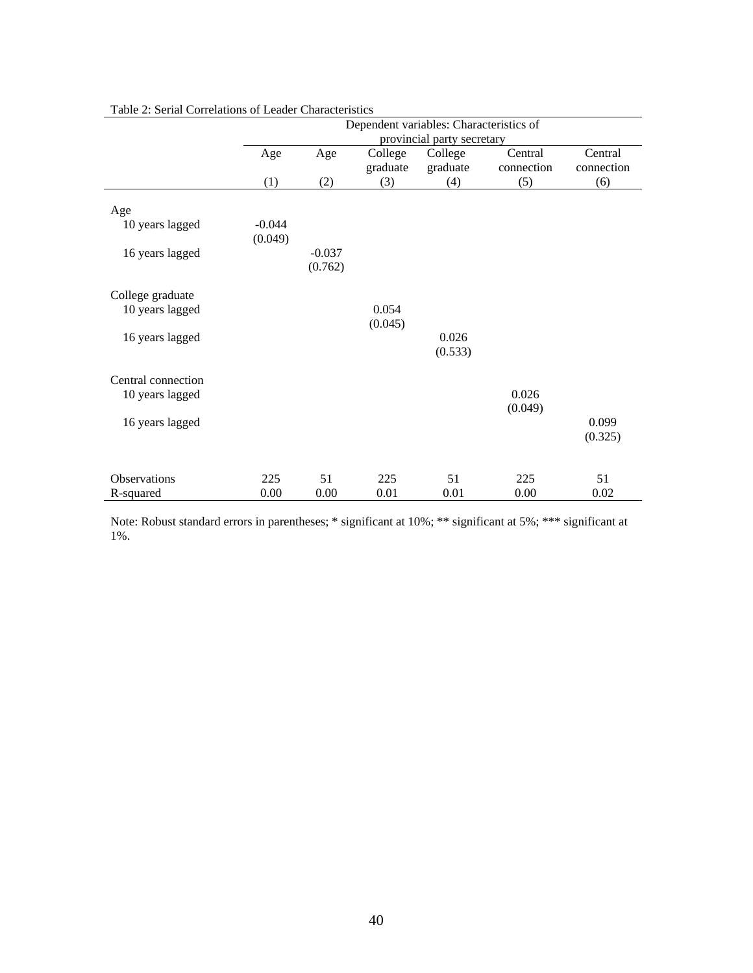|                     |          | Dependent variables: Characteristics of |          |          |            |            |  |
|---------------------|----------|-----------------------------------------|----------|----------|------------|------------|--|
|                     |          | provincial party secretary              |          |          |            |            |  |
|                     | Age      | Age                                     | College  | College  | Central    | Central    |  |
|                     |          |                                         | graduate | graduate | connection | connection |  |
|                     | (1)      | (2)                                     | (3)      | (4)      | (5)        | (6)        |  |
| Age                 |          |                                         |          |          |            |            |  |
| 10 years lagged     | $-0.044$ |                                         |          |          |            |            |  |
|                     | (0.049)  |                                         |          |          |            |            |  |
| 16 years lagged     |          | $-0.037$                                |          |          |            |            |  |
|                     |          | (0.762)                                 |          |          |            |            |  |
|                     |          |                                         |          |          |            |            |  |
| College graduate    |          |                                         |          |          |            |            |  |
| 10 years lagged     |          |                                         | 0.054    |          |            |            |  |
|                     |          |                                         | (0.045)  |          |            |            |  |
| 16 years lagged     |          |                                         |          | 0.026    |            |            |  |
|                     |          |                                         |          | (0.533)  |            |            |  |
|                     |          |                                         |          |          |            |            |  |
| Central connection  |          |                                         |          |          |            |            |  |
| 10 years lagged     |          |                                         |          |          | 0.026      |            |  |
|                     |          |                                         |          |          | (0.049)    |            |  |
| 16 years lagged     |          |                                         |          |          |            | 0.099      |  |
|                     |          |                                         |          |          |            | (0.325)    |  |
|                     |          |                                         |          |          |            |            |  |
| <b>Observations</b> | 225      | 51                                      | 225      | 51       | 225        | 51         |  |
| R-squared           | 0.00     | 0.00                                    | 0.01     | 0.01     | 0.00       | 0.02       |  |

#### Table 2: Serial Correlations of Leader Characteristics

Note: Robust standard errors in parentheses; \* significant at 10%; \*\* significant at 5%; \*\*\* significant at 1%.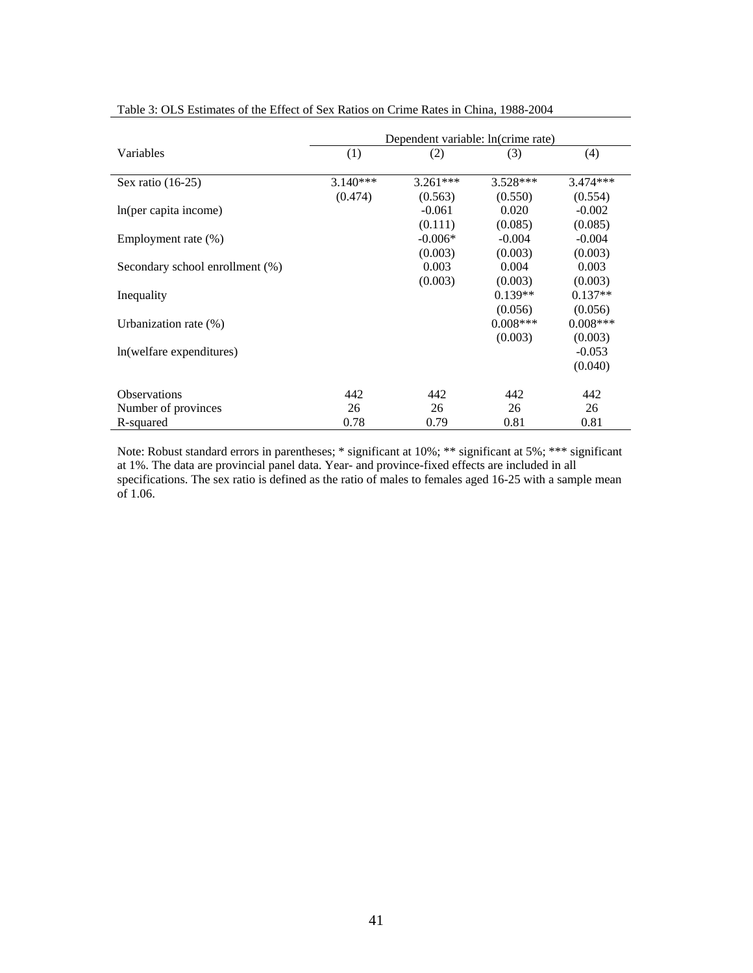|                                 | Dependent variable: ln(crime rate) |            |            |            |  |
|---------------------------------|------------------------------------|------------|------------|------------|--|
| Variables                       | (1)                                | (2)        | (3)        | (4)        |  |
| Sex ratio $(16-25)$             | $3.140***$                         | $3.261***$ | $3.528***$ | $3.474***$ |  |
|                                 | (0.474)                            | (0.563)    | (0.550)    | (0.554)    |  |
| In(per capita income)           |                                    | $-0.061$   | 0.020      | $-0.002$   |  |
|                                 |                                    | (0.111)    | (0.085)    | (0.085)    |  |
| Employment rate (%)             |                                    | $-0.006*$  | $-0.004$   | $-0.004$   |  |
|                                 |                                    | (0.003)    | (0.003)    | (0.003)    |  |
| Secondary school enrollment (%) |                                    | 0.003      | 0.004      | 0.003      |  |
|                                 |                                    | (0.003)    | (0.003)    | (0.003)    |  |
| Inequality                      |                                    |            | $0.139**$  | $0.137**$  |  |
|                                 |                                    |            | (0.056)    | (0.056)    |  |
| Urbanization rate $(\%)$        |                                    |            | $0.008***$ | $0.008***$ |  |
|                                 |                                    |            | (0.003)    | (0.003)    |  |
| In(welfare expenditures)        |                                    |            |            | $-0.053$   |  |
|                                 |                                    |            |            | (0.040)    |  |
| <b>Observations</b>             | 442                                | 442        | 442        | 442        |  |
| Number of provinces             | 26                                 | 26         | 26         | 26         |  |
| R-squared                       | 0.78                               | 0.79       | 0.81       | 0.81       |  |

Table 3: OLS Estimates of the Effect of Sex Ratios on Crime Rates in China, 1988-2004

Note: Robust standard errors in parentheses; \* significant at 10%; \*\* significant at 5%; \*\*\* significant at 1%. The data are provincial panel data. Year- and province-fixed effects are included in all specifications. The sex ratio is defined as the ratio of males to females aged 16-25 with a sample mean of 1.06.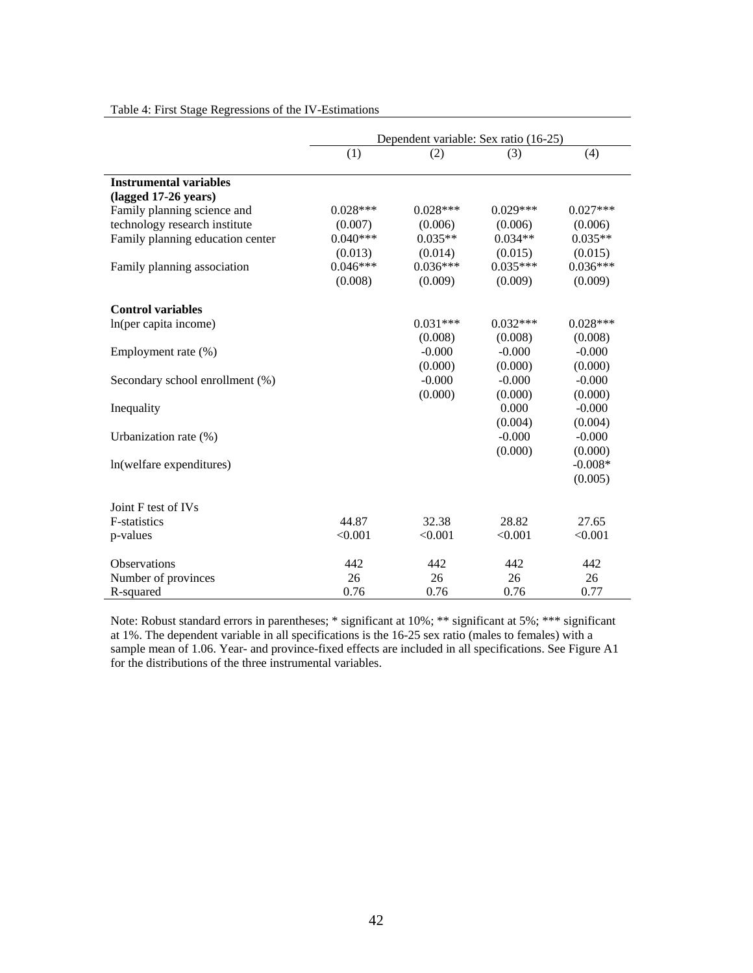|                                  | Dependent variable: Sex ratio (16-25) |            |            |            |  |
|----------------------------------|---------------------------------------|------------|------------|------------|--|
|                                  | (1)                                   | (2)        | (3)        | (4)        |  |
| <b>Instrumental variables</b>    |                                       |            |            |            |  |
| (lagged 17-26 years)             |                                       |            |            |            |  |
| Family planning science and      | $0.028***$                            | $0.028***$ | $0.029***$ | $0.027***$ |  |
| technology research institute    | (0.007)                               | (0.006)    | (0.006)    | (0.006)    |  |
| Family planning education center | $0.040***$                            | $0.035**$  | $0.034**$  | $0.035**$  |  |
|                                  | (0.013)                               | (0.014)    | (0.015)    | (0.015)    |  |
| Family planning association      | $0.046***$                            | $0.036***$ | $0.035***$ | $0.036***$ |  |
|                                  | (0.008)                               | (0.009)    | (0.009)    | (0.009)    |  |
| <b>Control variables</b>         |                                       |            |            |            |  |
| In(per capita income)            |                                       | $0.031***$ | $0.032***$ | $0.028***$ |  |
|                                  |                                       | (0.008)    | (0.008)    | (0.008)    |  |
| Employment rate (%)              |                                       | $-0.000$   | $-0.000$   | $-0.000$   |  |
|                                  |                                       | (0.000)    | (0.000)    | (0.000)    |  |
| Secondary school enrollment (%)  |                                       | $-0.000$   | $-0.000$   | $-0.000$   |  |
|                                  |                                       | (0.000)    | (0.000)    | (0.000)    |  |
| Inequality                       |                                       |            | 0.000      | $-0.000$   |  |
|                                  |                                       |            | (0.004)    | (0.004)    |  |
| Urbanization rate (%)            |                                       |            | $-0.000$   | $-0.000$   |  |
|                                  |                                       |            | (0.000)    | (0.000)    |  |
| ln(welfare expenditures)         |                                       |            |            | $-0.008*$  |  |
|                                  |                                       |            |            | (0.005)    |  |
| Joint F test of IVs              |                                       |            |            |            |  |
| <b>F</b> -statistics             | 44.87                                 | 32.38      | 28.82      | 27.65      |  |
| p-values                         | < 0.001                               | < 0.001    | < 0.001    | < 0.001    |  |
| <b>Observations</b>              | 442                                   | 442        | 442        | 442        |  |
| Number of provinces              | 26                                    | 26         | 26         | 26         |  |
| R-squared                        | 0.76                                  | 0.76       | 0.76       | 0.77       |  |

Table 4: First Stage Regressions of the IV-Estimations

Note: Robust standard errors in parentheses; \* significant at 10%; \*\* significant at 5%; \*\*\* significant at 1%. The dependent variable in all specifications is the 16-25 sex ratio (males to females) with a sample mean of 1.06. Year- and province-fixed effects are included in all specifications. See Figure A1 for the distributions of the three instrumental variables.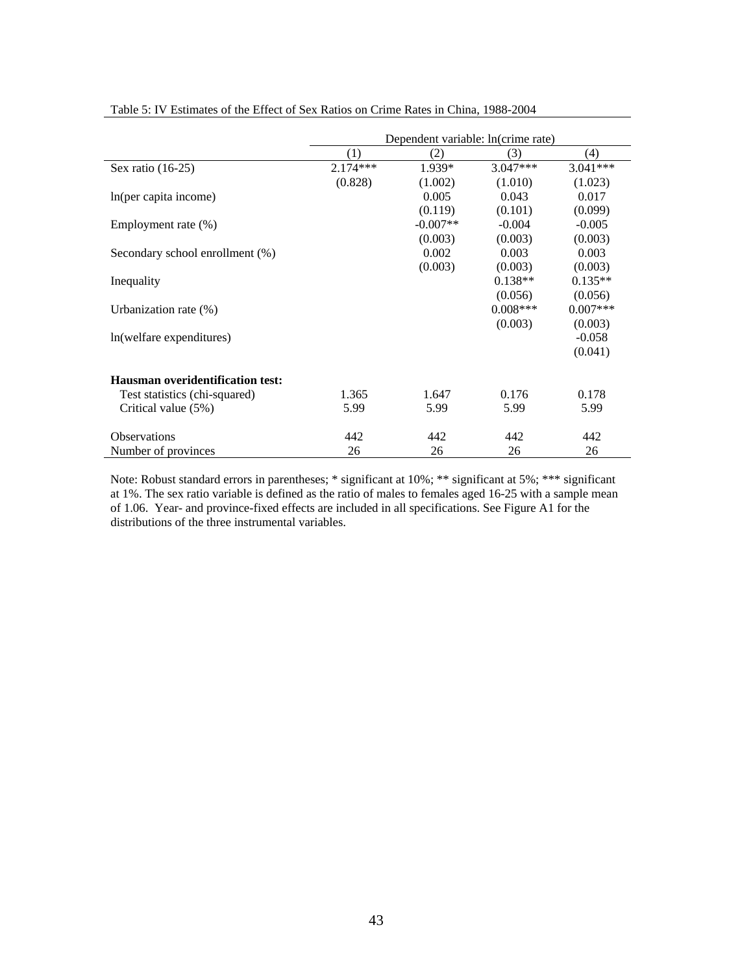|                                  | Dependent variable: ln(crime rate) |            |            |            |
|----------------------------------|------------------------------------|------------|------------|------------|
|                                  | (1)                                | (2)        | (3)        | (4)        |
| Sex ratio $(16-25)$              | $2.174***$                         | 1.939*     | $3.047***$ | $3.041***$ |
|                                  | (0.828)                            | (1.002)    | (1.010)    | (1.023)    |
| In(per capita income)            |                                    | 0.005      | 0.043      | 0.017      |
|                                  |                                    | (0.119)    | (0.101)    | (0.099)    |
| Employment rate $(\%)$           |                                    | $-0.007**$ | $-0.004$   | $-0.005$   |
|                                  |                                    | (0.003)    | (0.003)    | (0.003)    |
| Secondary school enrollment (%)  |                                    | 0.002      | 0.003      | 0.003      |
|                                  |                                    | (0.003)    | (0.003)    | (0.003)    |
| Inequality                       |                                    |            | $0.138**$  | $0.135**$  |
|                                  |                                    |            | (0.056)    | (0.056)    |
| Urbanization rate $(\%)$         |                                    |            | $0.008***$ | $0.007***$ |
|                                  |                                    |            | (0.003)    | (0.003)    |
| ln(welfare expenditures)         |                                    |            |            | $-0.058$   |
|                                  |                                    |            |            | (0.041)    |
|                                  |                                    |            |            |            |
| Hausman overidentification test: |                                    |            |            |            |
| Test statistics (chi-squared)    | 1.365                              | 1.647      | 0.176      | 0.178      |
| Critical value (5%)              | 5.99                               | 5.99       | 5.99       | 5.99       |
| <b>Observations</b>              | 442                                | 442        | 442        | 442        |
| Number of provinces              | 26                                 | 26         | 26         | 26         |

Table 5: IV Estimates of the Effect of Sex Ratios on Crime Rates in China, 1988-2004

Note: Robust standard errors in parentheses; \* significant at 10%; \*\* significant at 5%; \*\*\* significant at 1%. The sex ratio variable is defined as the ratio of males to females aged 16-25 with a sample mean of 1.06. Year- and province-fixed effects are included in all specifications. See Figure A1 for the distributions of the three instrumental variables.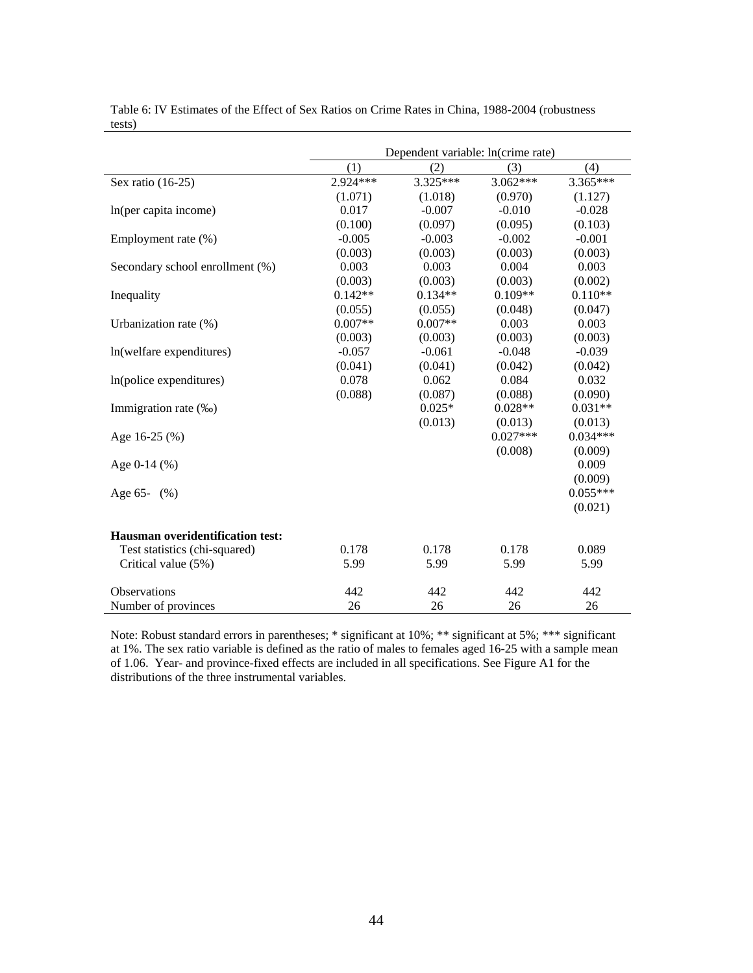|                                         | Dependent variable: ln(crime rate) |           |            |            |
|-----------------------------------------|------------------------------------|-----------|------------|------------|
|                                         | (1)                                | (2)       | (3)        | (4)        |
| Sex ratio (16-25)                       | 2.924***                           | 3.325***  | $3.062***$ | $3.365***$ |
|                                         | (1.071)                            | (1.018)   | (0.970)    | (1.127)    |
| In(per capita income)                   | 0.017                              | $-0.007$  | $-0.010$   | $-0.028$   |
|                                         | (0.100)                            | (0.097)   | (0.095)    | (0.103)    |
| Employment rate (%)                     | $-0.005$                           | $-0.003$  | $-0.002$   | $-0.001$   |
|                                         | (0.003)                            | (0.003)   | (0.003)    | (0.003)    |
| Secondary school enrollment (%)         | 0.003                              | 0.003     | 0.004      | 0.003      |
|                                         | (0.003)                            | (0.003)   | (0.003)    | (0.002)    |
| Inequality                              | $0.142**$                          | $0.134**$ | $0.109**$  | $0.110**$  |
|                                         | (0.055)                            | (0.055)   | (0.048)    | (0.047)    |
| Urbanization rate (%)                   | $0.007**$                          | $0.007**$ | 0.003      | 0.003      |
|                                         | (0.003)                            | (0.003)   | (0.003)    | (0.003)    |
| ln(welfare expenditures)                | $-0.057$                           | $-0.061$  | $-0.048$   | $-0.039$   |
|                                         | (0.041)                            | (0.041)   | (0.042)    | (0.042)    |
| In(police expenditures)                 | 0.078                              | 0.062     | 0.084      | 0.032      |
|                                         | (0.088)                            | (0.087)   | (0.088)    | (0.090)    |
| Immigration rate (‰)                    |                                    | $0.025*$  | $0.028**$  | $0.031**$  |
|                                         |                                    | (0.013)   | (0.013)    | (0.013)    |
| Age 16-25 (%)                           |                                    |           | $0.027***$ | $0.034***$ |
|                                         |                                    |           | (0.008)    | (0.009)    |
| Age $0-14$ $(\% )$                      |                                    |           |            | 0.009      |
|                                         |                                    |           |            | (0.009)    |
| Age $65 (\% )$                          |                                    |           |            | $0.055***$ |
|                                         |                                    |           |            | (0.021)    |
| <b>Hausman overidentification test:</b> |                                    |           |            |            |
| Test statistics (chi-squared)           | 0.178                              | 0.178     | 0.178      | 0.089      |
| Critical value (5%)                     | 5.99                               | 5.99      | 5.99       | 5.99       |
| <b>Observations</b>                     | 442                                | 442       | 442        | 442        |
| Number of provinces                     | 26                                 | 26        | 26         | 26         |

Table 6: IV Estimates of the Effect of Sex Ratios on Crime Rates in China, 1988-2004 (robustness tests)

Note: Robust standard errors in parentheses; \* significant at 10%; \*\* significant at 5%; \*\*\* significant at 1%. The sex ratio variable is defined as the ratio of males to females aged 16-25 with a sample mean of 1.06. Year- and province-fixed effects are included in all specifications. See Figure A1 for the distributions of the three instrumental variables.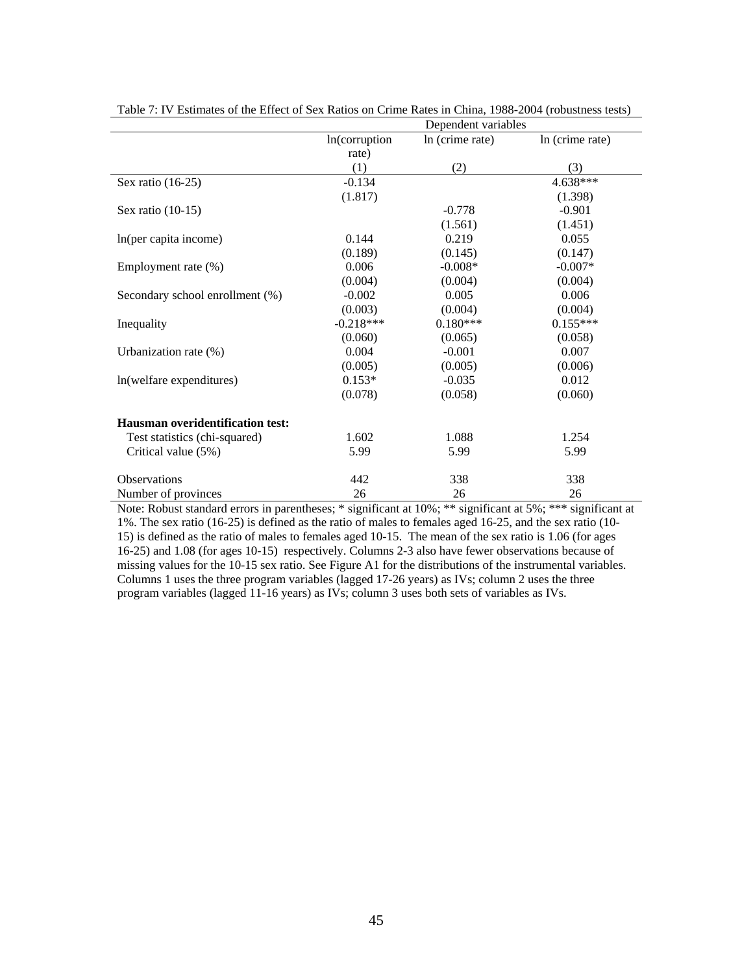|                                         | Dependent variables |                 |                 |  |
|-----------------------------------------|---------------------|-----------------|-----------------|--|
|                                         | In(corruption)      | In (crime rate) | In (crime rate) |  |
|                                         | rate)               |                 |                 |  |
|                                         | (1)                 | (2)             | (3)             |  |
| Sex ratio (16-25)                       | $-0.134$            |                 | 4.638***        |  |
|                                         | (1.817)             |                 | (1.398)         |  |
| Sex ratio $(10-15)$                     |                     | $-0.778$        | $-0.901$        |  |
|                                         |                     | (1.561)         | (1.451)         |  |
| In(per capita income)                   | 0.144               | 0.219           | 0.055           |  |
|                                         | (0.189)             | (0.145)         | (0.147)         |  |
| Employment rate (%)                     | 0.006               | $-0.008*$       | $-0.007*$       |  |
|                                         | (0.004)             | (0.004)         | (0.004)         |  |
| Secondary school enrollment (%)         | $-0.002$            | 0.005           | 0.006           |  |
|                                         | (0.003)             | (0.004)         | (0.004)         |  |
| Inequality                              | $-0.218***$         | $0.180***$      | $0.155***$      |  |
|                                         | (0.060)             | (0.065)         | (0.058)         |  |
| Urbanization rate (%)                   | 0.004               | $-0.001$        | 0.007           |  |
|                                         | (0.005)             | (0.005)         | (0.006)         |  |
| In(welfare expenditures)                | $0.153*$            | $-0.035$        | 0.012           |  |
|                                         | (0.078)             | (0.058)         | (0.060)         |  |
| <b>Hausman overidentification test:</b> |                     |                 |                 |  |
| Test statistics (chi-squared)           | 1.602               | 1.088           | 1.254           |  |
| Critical value (5%)                     | 5.99                | 5.99            | 5.99            |  |
| <b>Observations</b>                     | 442                 | 338             | 338             |  |
| Number of provinces                     | 26                  | 26              | 26              |  |

Table 7: IV Estimates of the Effect of Sex Ratios on Crime Rates in China, 1988-2004 (robustness tests)

Note: Robust standard errors in parentheses; \* significant at 10%; \*\* significant at 5%; \*\*\* significant at 1%. The sex ratio (16-25) is defined as the ratio of males to females aged 16-25, and the sex ratio (10- 15) is defined as the ratio of males to females aged 10-15. The mean of the sex ratio is 1.06 (for ages 16-25) and 1.08 (for ages 10-15) respectively. Columns 2-3 also have fewer observations because of missing values for the 10-15 sex ratio. See Figure A1 for the distributions of the instrumental variables. Columns 1 uses the three program variables (lagged 17-26 years) as IVs; column 2 uses the three program variables (lagged 11-16 years) as IVs; column 3 uses both sets of variables as IVs.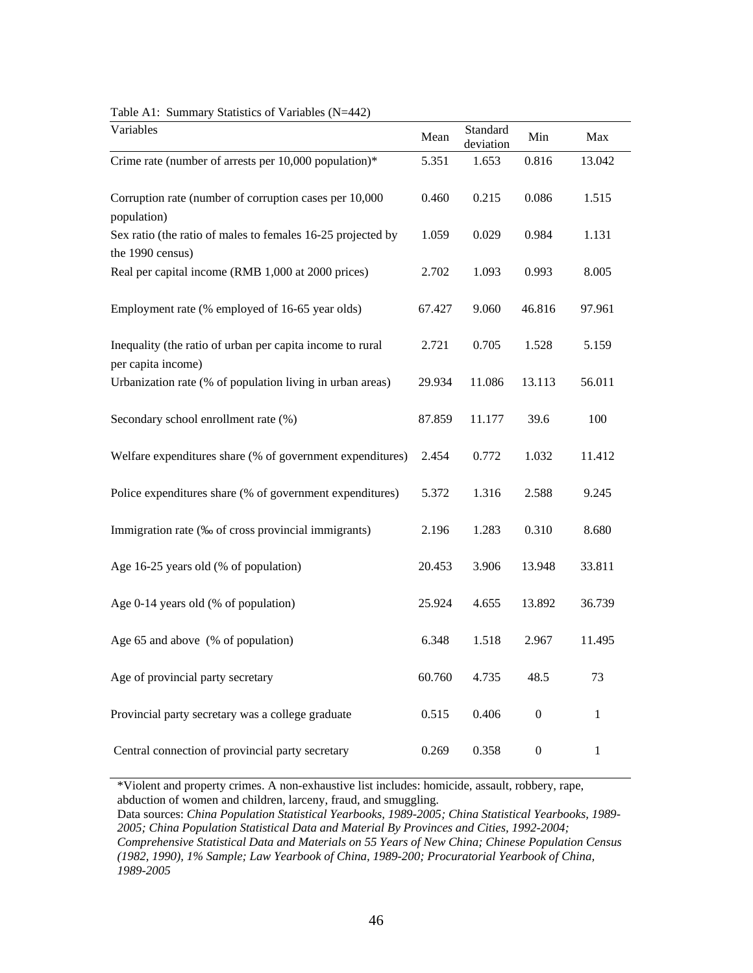| Variables                                                                       | Mean   | Standard<br>deviation | Min              | Max          |
|---------------------------------------------------------------------------------|--------|-----------------------|------------------|--------------|
| Crime rate (number of arrests per 10,000 population)*                           | 5.351  | 1.653                 | 0.816            | 13.042       |
| Corruption rate (number of corruption cases per 10,000                          | 0.460  | 0.215                 | 0.086            | 1.515        |
| population)<br>Sex ratio (the ratio of males to females 16-25 projected by      | 1.059  | 0.029                 | 0.984            | 1.131        |
| the 1990 census)<br>Real per capital income (RMB 1,000 at 2000 prices)          | 2.702  | 1.093                 | 0.993            | 8.005        |
| Employment rate (% employed of 16-65 year olds)                                 | 67.427 | 9.060                 | 46.816           | 97.961       |
| Inequality (the ratio of urban per capita income to rural                       | 2.721  | 0.705                 | 1.528            | 5.159        |
| per capita income)<br>Urbanization rate (% of population living in urban areas) | 29.934 | 11.086                | 13.113           | 56.011       |
| Secondary school enrollment rate (%)                                            | 87.859 | 11.177                | 39.6             | 100          |
| Welfare expenditures share (% of government expenditures)                       | 2.454  | 0.772                 | 1.032            | 11.412       |
| Police expenditures share (% of government expenditures)                        | 5.372  | 1.316                 | 2.588            | 9.245        |
| Immigration rate (‰ of cross provincial immigrants)                             | 2.196  | 1.283                 | 0.310            | 8.680        |
| Age 16-25 years old (% of population)                                           | 20.453 | 3.906                 | 13.948           | 33.811       |
| Age 0-14 years old (% of population)                                            | 25.924 | 4.655                 | 13.892           | 36.739       |
| Age 65 and above (% of population)                                              | 6.348  | 1.518                 | 2.967            | 11.495       |
| Age of provincial party secretary                                               | 60.760 | 4.735                 | 48.5             | 73           |
| Provincial party secretary was a college graduate                               | 0.515  | 0.406                 | $\boldsymbol{0}$ | $\mathbf{1}$ |
| Central connection of provincial party secretary                                | 0.269  | 0.358                 | $\boldsymbol{0}$ | $\mathbf{1}$ |

Table A1: Summary Statistics of Variables (N=442)

\*Violent and property crimes. A non-exhaustive list includes: homicide, assault, robbery, rape, abduction of women and children, larceny, fraud, and smuggling.

Data sources: *China Population Statistical Yearbooks, 1989-2005; China Statistical Yearbooks, 1989- 2005; China Population Statistical Data and Material By Provinces and Cities, 1992-2004; Comprehensive Statistical Data and Materials on 55 Years of New China; Chinese Population Census (1982, 1990), 1% Sample; Law Yearbook of China, 1989-200; Procuratorial Yearbook of China, 1989-2005*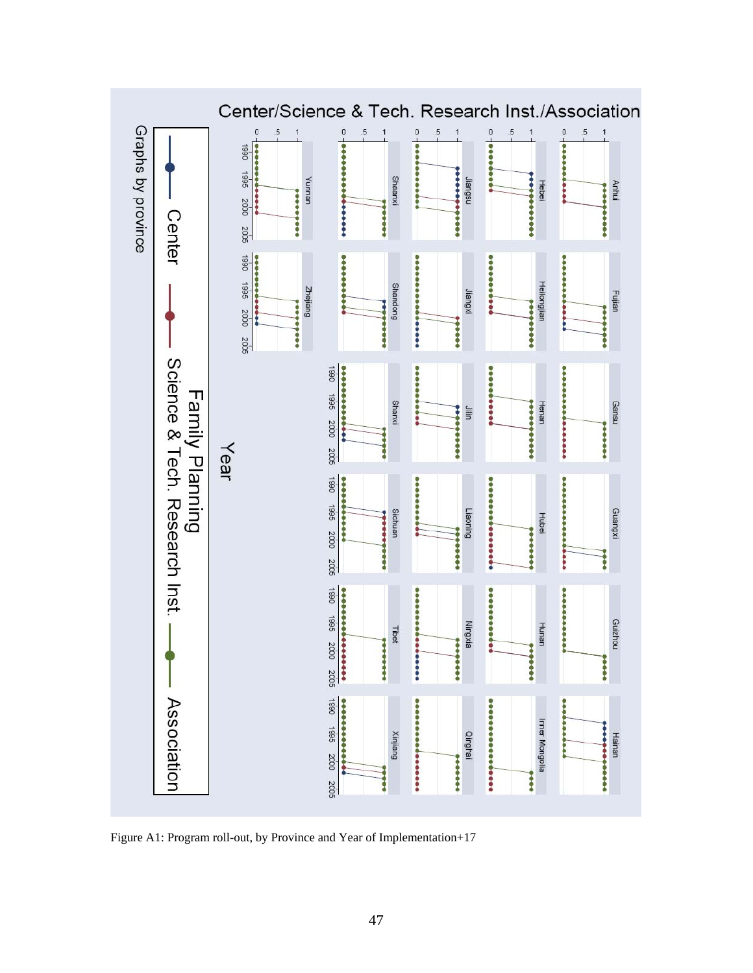

Figure A1: Program roll-out, by Province and Year of Implementation+17